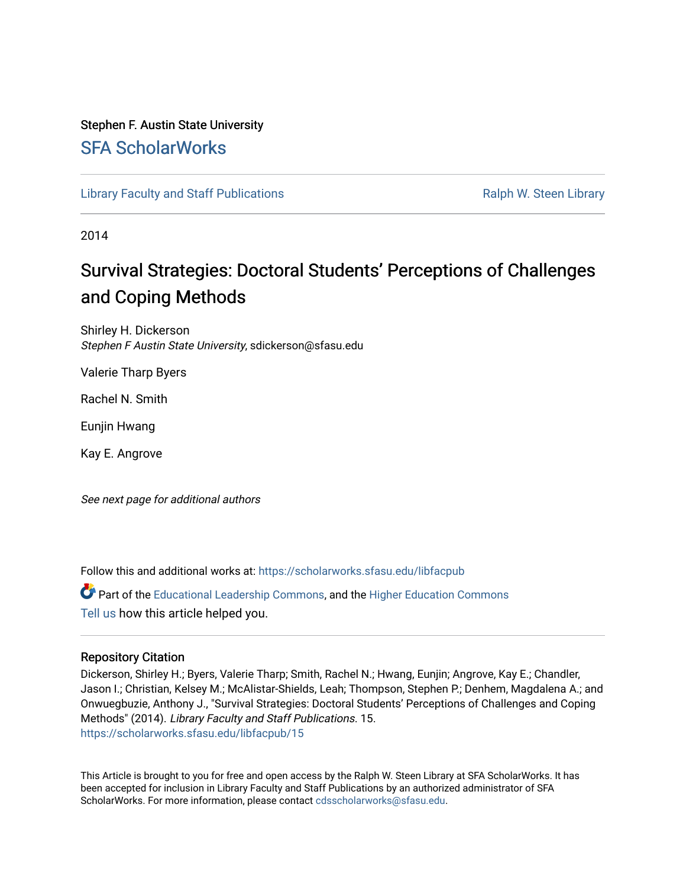### Stephen F. Austin State University [SFA ScholarWorks](https://scholarworks.sfasu.edu/)

[Library Faculty and Staff Publications](https://scholarworks.sfasu.edu/libfacpub) [Ralph W. Steen Library](https://scholarworks.sfasu.edu/library) 

2014

# Survival Strategies: Doctoral Students' Perceptions of Challenges and Coping Methods

Shirley H. Dickerson Stephen F Austin State University, sdickerson@sfasu.edu

Valerie Tharp Byers

Rachel N. Smith

Eunjin Hwang

Kay E. Angrove

See next page for additional authors

Follow this and additional works at: [https://scholarworks.sfasu.edu/libfacpub](https://scholarworks.sfasu.edu/libfacpub?utm_source=scholarworks.sfasu.edu%2Flibfacpub%2F15&utm_medium=PDF&utm_campaign=PDFCoverPages) 

Part of the [Educational Leadership Commons,](http://network.bepress.com/hgg/discipline/1230?utm_source=scholarworks.sfasu.edu%2Flibfacpub%2F15&utm_medium=PDF&utm_campaign=PDFCoverPages) and the [Higher Education Commons](http://network.bepress.com/hgg/discipline/1245?utm_source=scholarworks.sfasu.edu%2Flibfacpub%2F15&utm_medium=PDF&utm_campaign=PDFCoverPages) [Tell us](http://sfasu.qualtrics.com/SE/?SID=SV_0qS6tdXftDLradv) how this article helped you.

#### Repository Citation

Dickerson, Shirley H.; Byers, Valerie Tharp; Smith, Rachel N.; Hwang, Eunjin; Angrove, Kay E.; Chandler, Jason I.; Christian, Kelsey M.; McAlistar-Shields, Leah; Thompson, Stephen P.; Denhem, Magdalena A.; and Onwuegbuzie, Anthony J., "Survival Strategies: Doctoral Students' Perceptions of Challenges and Coping Methods" (2014). Library Faculty and Staff Publications. 15. [https://scholarworks.sfasu.edu/libfacpub/15](https://scholarworks.sfasu.edu/libfacpub/15?utm_source=scholarworks.sfasu.edu%2Flibfacpub%2F15&utm_medium=PDF&utm_campaign=PDFCoverPages)

This Article is brought to you for free and open access by the Ralph W. Steen Library at SFA ScholarWorks. It has been accepted for inclusion in Library Faculty and Staff Publications by an authorized administrator of SFA ScholarWorks. For more information, please contact [cdsscholarworks@sfasu.edu.](mailto:cdsscholarworks@sfasu.edu)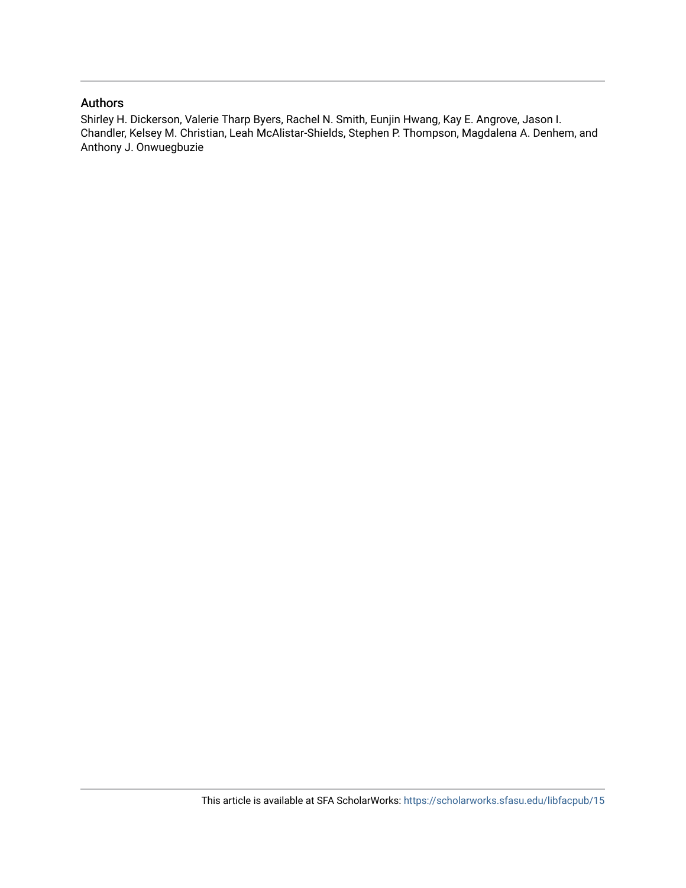#### Authors

Shirley H. Dickerson, Valerie Tharp Byers, Rachel N. Smith, Eunjin Hwang, Kay E. Angrove, Jason I. Chandler, Kelsey M. Christian, Leah McAlistar-Shields, Stephen P. Thompson, Magdalena A. Denhem, and Anthony J. Onwuegbuzie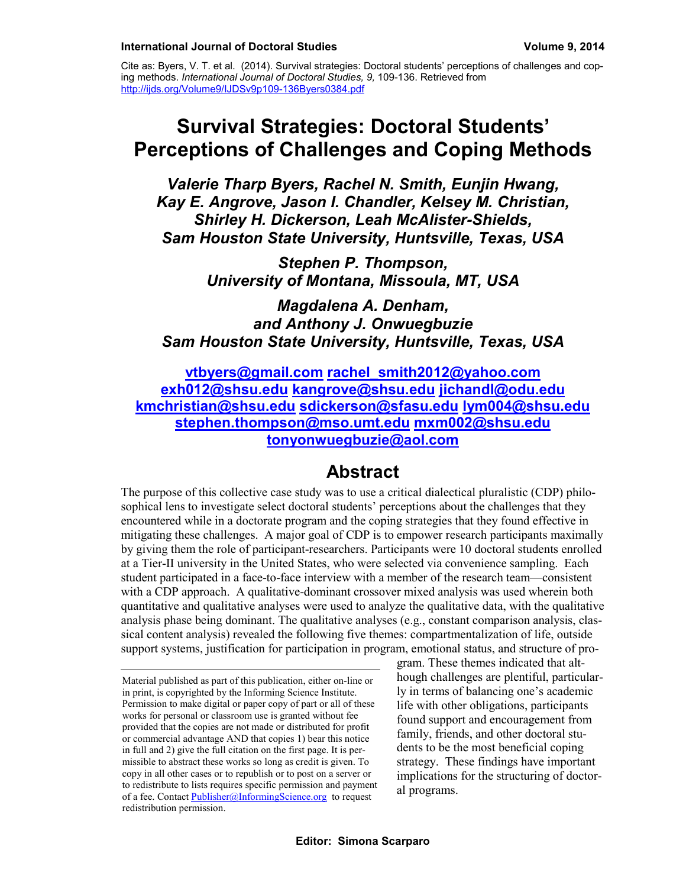Cite as: Byers, V. T. et al. (2014). Survival strategies: Doctoral students' perceptions of challenges and coping methods. *International Journal of Doctoral Studies, 9,* 109-136. Retrieved from <http://ijds.org/Volume9/IJDSv9p109-136Byers0384.pdf>

# **Survival Strategies: Doctoral Students' Perceptions of Challenges and Coping Methods**

*Valerie Tharp Byers, Rachel N. Smith, Eunjin Hwang, Kay E. Angrove, Jason I. Chandler, Kelsey M. Christian, Shirley H. Dickerson, Leah McAlister-Shields, Sam Houston State University, Huntsville, Texas, USA*

> *Stephen P. Thompson, University of Montana, Missoula, MT, USA*

*Magdalena A. Denham, and Anthony J. Onwuegbuzie Sam Houston State University, Huntsville, Texas, USA*

**[vtbyers@gmail.com](mailto:vtbyers@gmail.com) [rachel\\_smith2012@yahoo.com](mailto:rachel_smith2012@yahoo.com) [exh012@shsu.edu](mailto:exh012@shsu.edu) [kangrove@shsu.edu](mailto:kangrove@shsu.edu) [jichandl@odu.edu](mailto:jichandl@odu.edu) [kmchristian@shsu.edu](mailto:kmchristian@shsu.edu) [sdickerson@sfasu.edu](mailto:sdickerson@sfasu.edu) [lym004@shsu.edu](mailto:lym004@shsu.edu) [stephen.thompson@mso.umt.edu](mailto:stephen.thompson@mso.umt.edu) [mxm002@shsu.edu](mailto:mxm002@shsu.edu) [tonyonwuegbuzie@aol.com](mailto:tonyonwuegbuzie@aol.com)**

## **Abstract**

The purpose of this collective case study was to use a critical dialectical pluralistic (CDP) philosophical lens to investigate select doctoral students' perceptions about the challenges that they encountered while in a doctorate program and the coping strategies that they found effective in mitigating these challenges. A major goal of CDP is to empower research participants maximally by giving them the role of participant-researchers. Participants were 10 doctoral students enrolled at a Tier-II university in the United States, who were selected via convenience sampling. Each student participated in a face-to-face interview with a member of the research team—consistent with a CDP approach. A qualitative-dominant crossover mixed analysis was used wherein both quantitative and qualitative analyses were used to analyze the qualitative data, with the qualitative analysis phase being dominant. The qualitative analyses (e.g., constant comparison analysis, classical content analysis) revealed the following five themes: compartmentalization of life, outside support systems, justification for participation in program, emotional status, and structure of pro-

gram. These themes indicated that although challenges are plentiful, particularly in terms of balancing one's academic life with other obligations, participants found support and encouragement from family, friends, and other doctoral students to be the most beneficial coping strategy. These findings have important implications for the structuring of doctoral programs.

Material published as part of this publication, either on-line or in print, is copyrighted by the Informing Science Institute. Permission to make digital or paper copy of part or all of these works for personal or classroom use is granted without fee provided that the copies are not made or distributed for profit or commercial advantage AND that copies 1) bear this notice in full and 2) give the full citation on the first page. It is permissible to abstract these works so long as credit is given. To copy in all other cases or to republish or to post on a server or to redistribute to lists requires specific permission and payment of a fee. Contact [Publisher@InformingScience.org](mailto:Publisher@InformingScience.org) to request redistribution permission.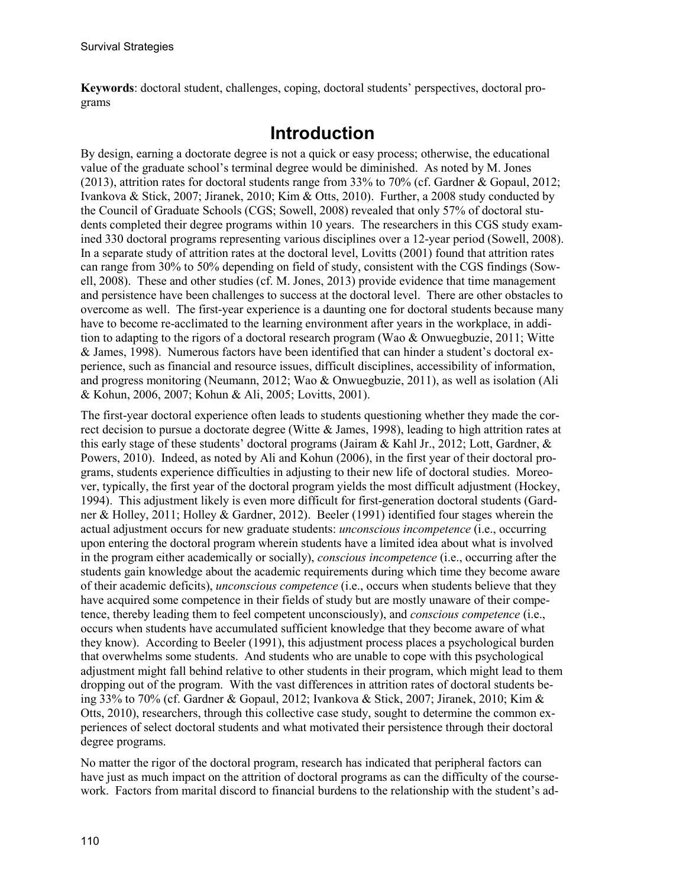**Keywords**: doctoral student, challenges, coping, doctoral students' perspectives, doctoral programs

# **Introduction**

By design, earning a doctorate degree is not a quick or easy process; otherwise, the educational value of the graduate school's terminal degree would be diminished. As noted by M. Jones (2013), attrition rates for doctoral students range from 33% to 70% (cf. Gardner & Gopaul, 2012; Ivankova & Stick, 2007; Jiranek, 2010; Kim & Otts, 2010). Further, a 2008 study conducted by the Council of Graduate Schools (CGS; Sowell, 2008) revealed that only 57% of doctoral students completed their degree programs within 10 years. The researchers in this CGS study examined 330 doctoral programs representing various disciplines over a 12-year period (Sowell, 2008). In a separate study of attrition rates at the doctoral level, Lovitts (2001) found that attrition rates can range from 30% to 50% depending on field of study, consistent with the CGS findings (Sowell, 2008). These and other studies (cf. M. Jones, 2013) provide evidence that time management and persistence have been challenges to success at the doctoral level. There are other obstacles to overcome as well. The first-year experience is a daunting one for doctoral students because many have to become re-acclimated to the learning environment after years in the workplace, in addition to adapting to the rigors of a doctoral research program (Wao & Onwuegbuzie, 2011; Witte & James, 1998). Numerous factors have been identified that can hinder a student's doctoral experience, such as financial and resource issues, difficult disciplines, accessibility of information, and progress monitoring (Neumann, 2012; Wao & Onwuegbuzie, 2011), as well as isolation (Ali & Kohun, 2006, 2007; Kohun & Ali, 2005; Lovitts, 2001).

The first-year doctoral experience often leads to students questioning whether they made the correct decision to pursue a doctorate degree (Witte & James, 1998), leading to high attrition rates at this early stage of these students' doctoral programs (Jairam & Kahl Jr., 2012; Lott, Gardner, & Powers, 2010). Indeed, as noted by Ali and Kohun (2006), in the first year of their doctoral programs, students experience difficulties in adjusting to their new life of doctoral studies. Moreover, typically, the first year of the doctoral program yields the most difficult adjustment (Hockey, 1994). This adjustment likely is even more difficult for first-generation doctoral students (Gardner & Holley, 2011; Holley & Gardner, 2012). Beeler (1991) identified four stages wherein the actual adjustment occurs for new graduate students: *unconscious incompetence* (i.e., occurring upon entering the doctoral program wherein students have a limited idea about what is involved in the program either academically or socially), *conscious incompetence* (i.e., occurring after the students gain knowledge about the academic requirements during which time they become aware of their academic deficits), *unconscious competence* (i.e., occurs when students believe that they have acquired some competence in their fields of study but are mostly unaware of their competence, thereby leading them to feel competent unconsciously), and *conscious competence* (i.e., occurs when students have accumulated sufficient knowledge that they become aware of what they know). According to Beeler (1991), this adjustment process places a psychological burden that overwhelms some students. And students who are unable to cope with this psychological adjustment might fall behind relative to other students in their program, which might lead to them dropping out of the program. With the vast differences in attrition rates of doctoral students being 33% to 70% (cf. Gardner & Gopaul, 2012; Ivankova & Stick, 2007; Jiranek, 2010; Kim & Otts, 2010), researchers, through this collective case study, sought to determine the common experiences of select doctoral students and what motivated their persistence through their doctoral degree programs.

No matter the rigor of the doctoral program, research has indicated that peripheral factors can have just as much impact on the attrition of doctoral programs as can the difficulty of the coursework. Factors from marital discord to financial burdens to the relationship with the student's ad-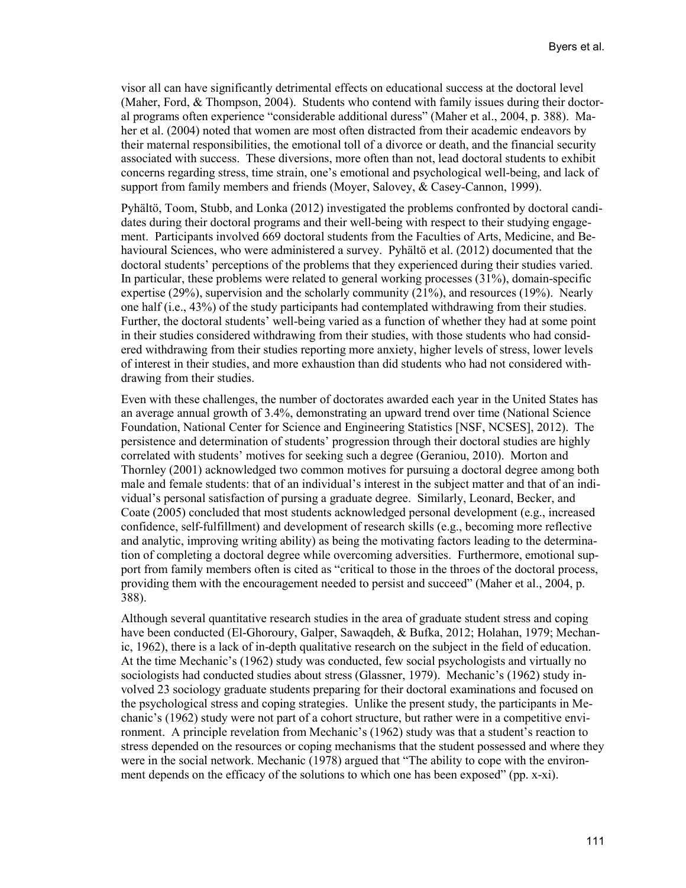visor all can have significantly detrimental effects on educational success at the doctoral level (Maher, Ford, & Thompson, 2004). Students who contend with family issues during their doctoral programs often experience "considerable additional duress" (Maher et al., 2004, p. 388). Maher et al. (2004) noted that women are most often distracted from their academic endeavors by their maternal responsibilities, the emotional toll of a divorce or death, and the financial security associated with success. These diversions, more often than not, lead doctoral students to exhibit concerns regarding stress, time strain, one's emotional and psychological well-being, and lack of support from family members and friends (Moyer, Salovey, & Casey-Cannon, 1999).

Pyhältö, Toom, Stubb, and Lonka (2012) investigated the problems confronted by doctoral candidates during their doctoral programs and their well-being with respect to their studying engagement. Participants involved 669 doctoral students from the Faculties of Arts, Medicine, and Behavioural Sciences, who were administered a survey. Pyhältö et al. (2012) documented that the doctoral students' perceptions of the problems that they experienced during their studies varied. In particular, these problems were related to general working processes (31%), domain-specific expertise (29%), supervision and the scholarly community (21%), and resources (19%). Nearly one half (i.e., 43%) of the study participants had contemplated withdrawing from their studies. Further, the doctoral students' well-being varied as a function of whether they had at some point in their studies considered withdrawing from their studies, with those students who had considered withdrawing from their studies reporting more anxiety, higher levels of stress, lower levels of interest in their studies, and more exhaustion than did students who had not considered withdrawing from their studies.

Even with these challenges, the number of doctorates awarded each year in the United States has an average annual growth of 3.4%, demonstrating an upward trend over time (National Science Foundation, National Center for Science and Engineering Statistics [NSF, NCSES], 2012). The persistence and determination of students' progression through their doctoral studies are highly correlated with students' motives for seeking such a degree (Geraniou, 2010). Morton and Thornley (2001) acknowledged two common motives for pursuing a doctoral degree among both male and female students: that of an individual's interest in the subject matter and that of an individual's personal satisfaction of pursing a graduate degree. Similarly, Leonard, Becker, and Coate (2005) concluded that most students acknowledged personal development (e.g., increased confidence, self-fulfillment) and development of research skills (e.g., becoming more reflective and analytic, improving writing ability) as being the motivating factors leading to the determination of completing a doctoral degree while overcoming adversities. Furthermore, emotional support from family members often is cited as "critical to those in the throes of the doctoral process, providing them with the encouragement needed to persist and succeed" (Maher et al., 2004, p. 388).

Although several quantitative research studies in the area of graduate student stress and coping have been conducted (El-Ghoroury, Galper, Sawaqdeh, & Bufka, 2012; Holahan, 1979; Mechanic, 1962), there is a lack of in-depth qualitative research on the subject in the field of education. At the time Mechanic's (1962) study was conducted, few social psychologists and virtually no sociologists had conducted studies about stress (Glassner, 1979). Mechanic's (1962) study involved 23 sociology graduate students preparing for their doctoral examinations and focused on the psychological stress and coping strategies. Unlike the present study, the participants in Mechanic's (1962) study were not part of a cohort structure, but rather were in a competitive environment. A principle revelation from Mechanic's (1962) study was that a student's reaction to stress depended on the resources or coping mechanisms that the student possessed and where they were in the social network. Mechanic (1978) argued that "The ability to cope with the environment depends on the efficacy of the solutions to which one has been exposed" (pp. x-xi).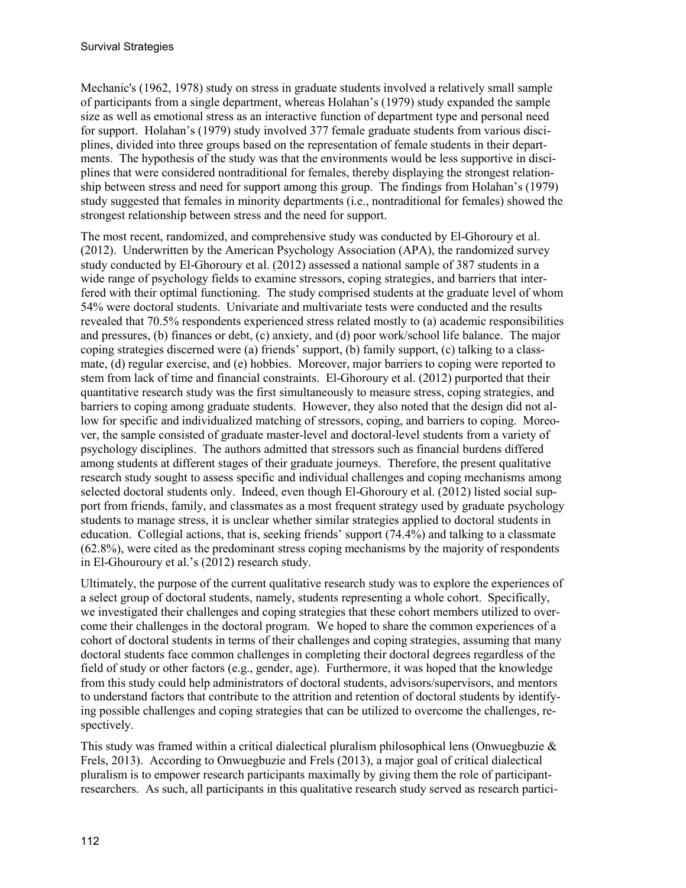Mechanic's (1962, 1978) study on stress in graduate students involved a relatively small sample of participants from a single department, whereas Holahan's (1979) study expanded the sample size as well as emotional stress as an interactive function of department type and personal need for support. Holahan's (1979) study involved 377 female graduate students from various disciplines, divided into three groups based on the representation of female students in their departments. The hypothesis of the study was that the environments would be less supportive in disciplines that were considered nontraditional for females, thereby displaying the strongest relationship between stress and need for support among this group. The findings from Holahan's (1979) study suggested that females in minority departments (i.e., nontraditional for females) showed the strongest relationship between stress and the need for support.

The most recent, randomized, and comprehensive study was conducted by El-Ghoroury et al. (2012). Underwritten by the American Psychology Association (APA), the randomized survey study conducted by El-Ghoroury et al. (2012) assessed a national sample of 387 students in a wide range of psychology fields to examine stressors, coping strategies, and barriers that interfered with their optimal functioning. The study comprised students at the graduate level of whom 54% were doctoral students. Univariate and multivariate tests were conducted and the results revealed that 70.5% respondents experienced stress related mostly to (a) academic responsibilities and pressures, (b) finances or debt, (c) anxiety, and (d) poor work/school life balance. The major coping strategies discerned were (a) friends' support, (b) family support, (c) talking to a classmate, (d) regular exercise, and (e) hobbies. Moreover, major barriers to coping were reported to stem from lack of time and financial constraints. El-Ghoroury et al. (2012) purported that their quantitative research study was the first simultaneously to measure stress, coping strategies, and barriers to coping among graduate students. However, they also noted that the design did not allow for specific and individualized matching of stressors, coping, and barriers to coping. Moreover, the sample consisted of graduate master-level and doctoral-level students from a variety of psychology disciplines. The authors admitted that stressors such as financial burdens differed among students at different stages of their graduate journeys. Therefore, the present qualitative research study sought to assess specific and individual challenges and coping mechanisms among selected doctoral students only. Indeed, even though El-Ghoroury et al. (2012) listed social support from friends, family, and classmates as a most frequent strategy used by graduate psychology students to manage stress, it is unclear whether similar strategies applied to doctoral students in education. Collegial actions, that is, seeking friends' support (74.4%) and talking to a classmate (62.8%), were cited as the predominant stress coping mechanisms by the majority of respondents in El-Ghouroury et al.'s (2012) research study.

Ultimately, the purpose of the current qualitative research study was to explore the experiences of a select group of doctoral students, namely, students representing a whole cohort. Specifically, we investigated their challenges and coping strategies that these cohort members utilized to overcome their challenges in the doctoral program. We hoped to share the common experiences of a cohort of doctoral students in terms of their challenges and coping strategies, assuming that many doctoral students face common challenges in completing their doctoral degrees regardless of the field of study or other factors (e.g., gender, age). Furthermore, it was hoped that the knowledge from this study could help administrators of doctoral students, advisors/supervisors, and mentors to understand factors that contribute to the attrition and retention of doctoral students by identifying possible challenges and coping strategies that can be utilized to overcome the challenges, respectively.

This study was framed within a critical dialectical pluralism philosophical lens (Onwuegbuzie  $\&$ Frels, 2013). According to Onwuegbuzie and Frels (2013), a major goal of critical dialectical pluralism is to empower research participants maximally by giving them the role of participantresearchers. As such, all participants in this qualitative research study served as research partici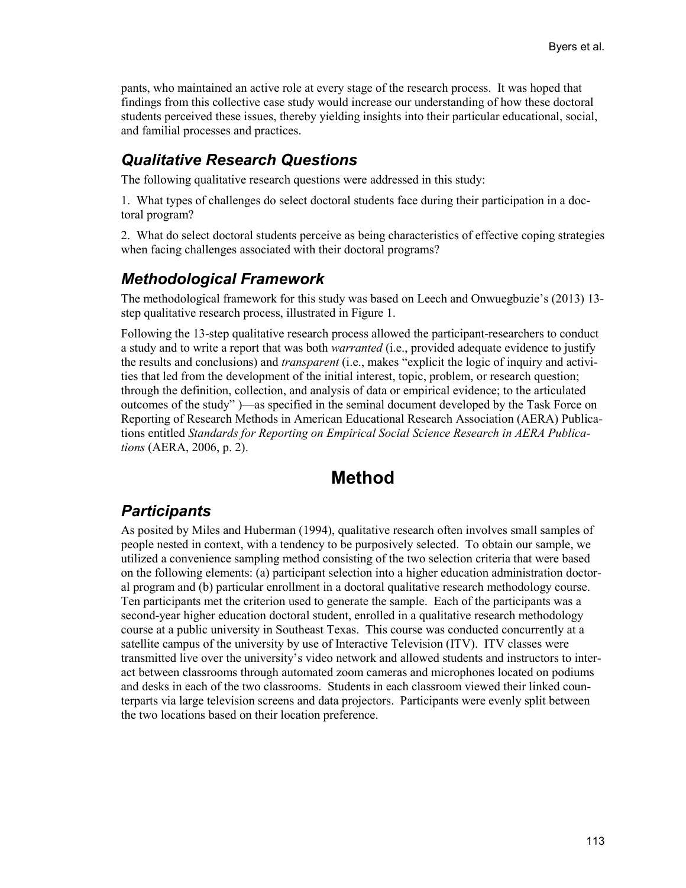pants, who maintained an active role at every stage of the research process. It was hoped that findings from this collective case study would increase our understanding of how these doctoral students perceived these issues, thereby yielding insights into their particular educational, social, and familial processes and practices.

#### *Qualitative Research Questions*

The following qualitative research questions were addressed in this study:

1. What types of challenges do select doctoral students face during their participation in a doctoral program?

2. What do select doctoral students perceive as being characteristics of effective coping strategies when facing challenges associated with their doctoral programs?

#### *Methodological Framework*

The methodological framework for this study was based on Leech and Onwuegbuzie's (2013) 13 step qualitative research process, illustrated in Figure 1.

Following the 13-step qualitative research process allowed the participant-researchers to conduct a study and to write a report that was both *warranted* (i.e., provided adequate evidence to justify the results and conclusions) and *transparent* (i.e., makes "explicit the logic of inquiry and activities that led from the development of the initial interest, topic, problem, or research question; through the definition, collection, and analysis of data or empirical evidence; to the articulated outcomes of the study" )—as specified in the seminal document developed by the Task Force on Reporting of Research Methods in American Educational Research Association (AERA) Publications entitled *Standards for Reporting on Empirical Social Science Research in AERA Publications* (AERA, 2006, p. 2).

## **Method**

#### *Participants*

As posited by Miles and Huberman (1994), qualitative research often involves small samples of people nested in context, with a tendency to be purposively selected. To obtain our sample, we utilized a convenience sampling method consisting of the two selection criteria that were based on the following elements: (a) participant selection into a higher education administration doctoral program and (b) particular enrollment in a doctoral qualitative research methodology course. Ten participants met the criterion used to generate the sample. Each of the participants was a second-year higher education doctoral student, enrolled in a qualitative research methodology course at a public university in Southeast Texas. This course was conducted concurrently at a satellite campus of the university by use of Interactive Television (ITV). ITV classes were transmitted live over the university's video network and allowed students and instructors to interact between classrooms through automated zoom cameras and microphones located on podiums and desks in each of the two classrooms. Students in each classroom viewed their linked counterparts via large television screens and data projectors. Participants were evenly split between the two locations based on their location preference.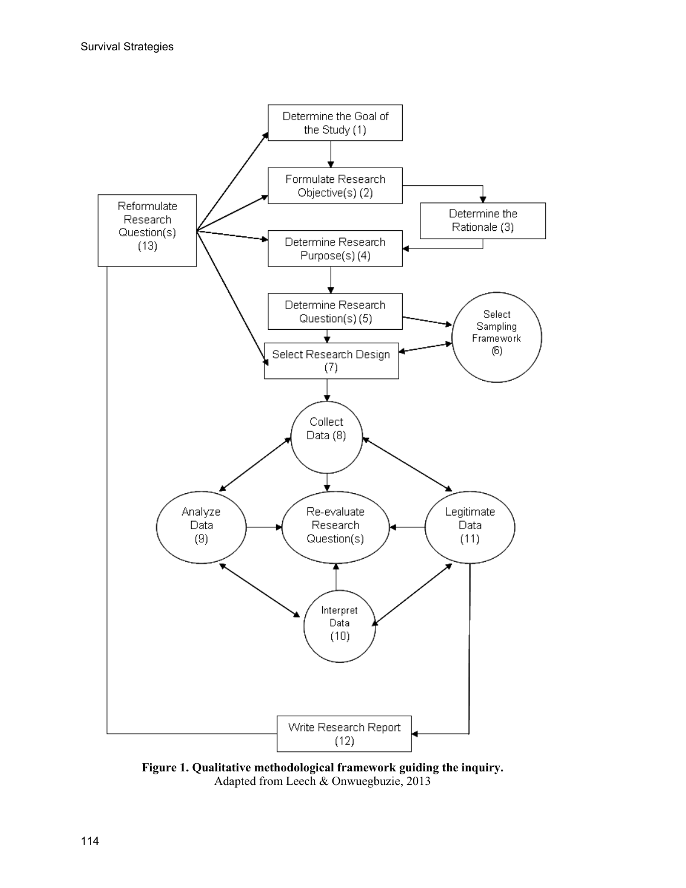

**Figure 1. Qualitative methodological framework guiding the inquiry.** Adapted from Leech & Onwuegbuzie, 2013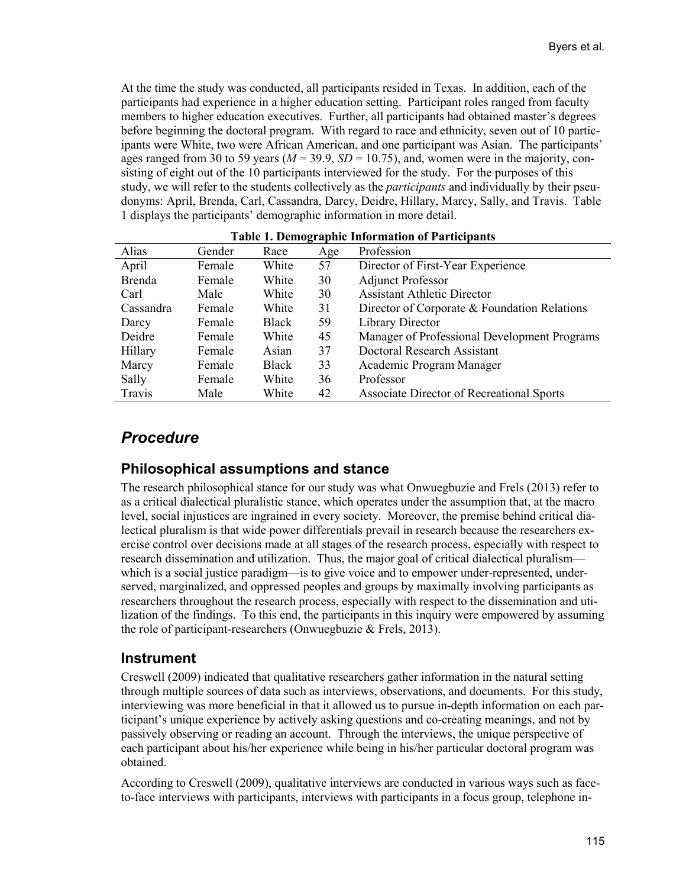At the time the study was conducted, all participants resided in Texas. In addition, each of the participants had experience in a higher education setting. Participant roles ranged from faculty members to higher education executives. Further, all participants had obtained master's degrees before beginning the doctoral program. With regard to race and ethnicity, seven out of 10 participants were White, two were African American, and one participant was Asian. The participants' ages ranged from 30 to 59 years  $(M = 39.9, SD = 10.75)$ , and, women were in the majority, consisting of eight out of the 10 participants interviewed for the study. For the purposes of this study, we will refer to the students collectively as the *participants* and individually by their pseudonyms: April, Brenda, Carl, Cassandra, Darcy, Deidre, Hillary, Marcy, Sally, and Travis. Table 1 displays the participants' demographic information in more detail.

| Alias         | Gender | Race         | -<br>Age | Profession                                   |
|---------------|--------|--------------|----------|----------------------------------------------|
| April         | Female | White        | 57       | Director of First-Year Experience            |
| <b>Brenda</b> | Female | White        | 30       | <b>Adjunct Professor</b>                     |
| Carl          | Male   | White        | 30       | <b>Assistant Athletic Director</b>           |
| Cassandra     | Female | White        | 31       | Director of Corporate & Foundation Relations |
| Darcy         | Female | <b>Black</b> | 59       | Library Director                             |
| Deidre        | Female | White        | 45       | Manager of Professional Development Programs |
| Hillary       | Female | Asian        | 37       | Doctoral Research Assistant                  |
| Marcy         | Female | <b>Black</b> | 33       | Academic Program Manager                     |
| Sally         | Female | White        | 36       | Professor                                    |
| Travis        | Male   | White        | 42       | Associate Director of Recreational Sports    |

|  | <b>Table 1. Demographic Information of Participants</b> |
|--|---------------------------------------------------------|
|  |                                                         |

### *Procedure*

#### **Philosophical assumptions and stance**

The research philosophical stance for our study was what Onwuegbuzie and Frels (2013) refer to as a critical dialectical pluralistic stance, which operates under the assumption that, at the macro level, social injustices are ingrained in every society. Moreover, the premise behind critical dialectical pluralism is that wide power differentials prevail in research because the researchers exercise control over decisions made at all stages of the research process, especially with respect to research dissemination and utilization. Thus, the major goal of critical dialectical pluralism which is a social justice paradigm—is to give voice and to empower under-represented, underserved, marginalized, and oppressed peoples and groups by maximally involving participants as researchers throughout the research process, especially with respect to the dissemination and utilization of the findings. To this end, the participants in this inquiry were empowered by assuming the role of participant-researchers (Onwuegbuzie & Frels, 2013).

#### **Instrument**

Creswell (2009) indicated that qualitative researchers gather information in the natural setting through multiple sources of data such as interviews, observations, and documents. For this study, interviewing was more beneficial in that it allowed us to pursue in-depth information on each participant's unique experience by actively asking questions and co-creating meanings, and not by passively observing or reading an account. Through the interviews, the unique perspective of each participant about his/her experience while being in his/her particular doctoral program was obtained.

According to Creswell (2009), qualitative interviews are conducted in various ways such as faceto-face interviews with participants, interviews with participants in a focus group, telephone in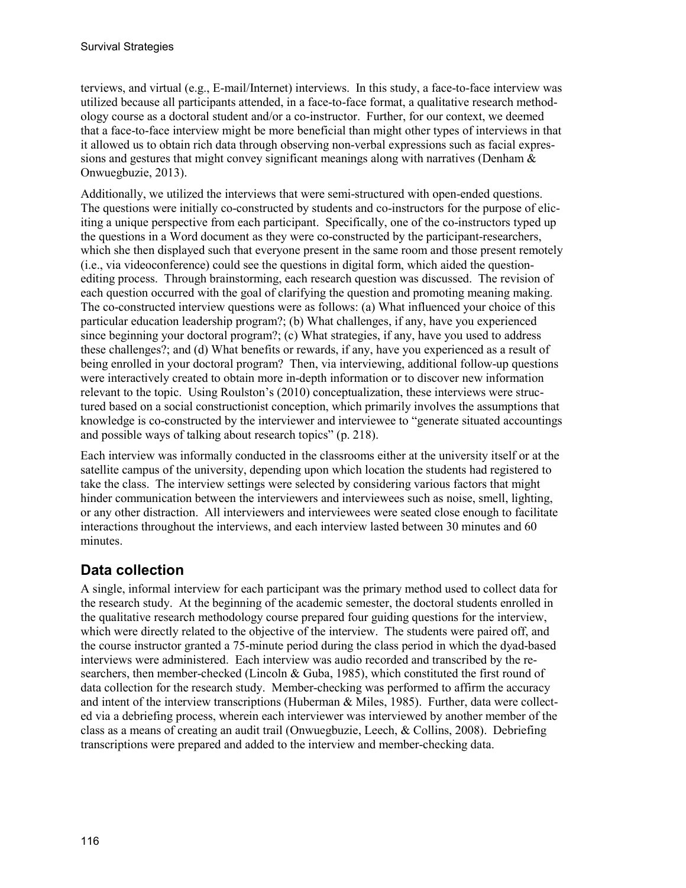terviews, and virtual (e.g., E-mail/Internet) interviews. In this study, a face-to-face interview was utilized because all participants attended, in a face-to-face format, a qualitative research methodology course as a doctoral student and/or a co-instructor. Further, for our context, we deemed that a face-to-face interview might be more beneficial than might other types of interviews in that it allowed us to obtain rich data through observing non-verbal expressions such as facial expressions and gestures that might convey significant meanings along with narratives (Denham & Onwuegbuzie, 2013).

Additionally, we utilized the interviews that were semi-structured with open-ended questions. The questions were initially co-constructed by students and co-instructors for the purpose of eliciting a unique perspective from each participant. Specifically, one of the co-instructors typed up the questions in a Word document as they were co-constructed by the participant-researchers, which she then displayed such that everyone present in the same room and those present remotely (i.e., via videoconference) could see the questions in digital form, which aided the questionediting process. Through brainstorming, each research question was discussed. The revision of each question occurred with the goal of clarifying the question and promoting meaning making. The co-constructed interview questions were as follows: (a) What influenced your choice of this particular education leadership program?; (b) What challenges, if any, have you experienced since beginning your doctoral program?; (c) What strategies, if any, have you used to address these challenges?; and (d) What benefits or rewards, if any, have you experienced as a result of being enrolled in your doctoral program? Then, via interviewing, additional follow-up questions were interactively created to obtain more in-depth information or to discover new information relevant to the topic. Using Roulston's (2010) conceptualization, these interviews were structured based on a social constructionist conception, which primarily involves the assumptions that knowledge is co-constructed by the interviewer and interviewee to "generate situated accountings and possible ways of talking about research topics" (p. 218).

Each interview was informally conducted in the classrooms either at the university itself or at the satellite campus of the university, depending upon which location the students had registered to take the class. The interview settings were selected by considering various factors that might hinder communication between the interviewers and interviewees such as noise, smell, lighting, or any other distraction. All interviewers and interviewees were seated close enough to facilitate interactions throughout the interviews, and each interview lasted between 30 minutes and 60 minutes.

### **Data collection**

A single, informal interview for each participant was the primary method used to collect data for the research study. At the beginning of the academic semester, the doctoral students enrolled in the qualitative research methodology course prepared four guiding questions for the interview, which were directly related to the objective of the interview. The students were paired off, and the course instructor granted a 75-minute period during the class period in which the dyad-based interviews were administered. Each interview was audio recorded and transcribed by the researchers, then member-checked (Lincoln & Guba, 1985), which constituted the first round of data collection for the research study. Member-checking was performed to affirm the accuracy and intent of the interview transcriptions (Huberman & Miles, 1985). Further, data were collected via a debriefing process, wherein each interviewer was interviewed by another member of the class as a means of creating an audit trail (Onwuegbuzie, Leech, & Collins, 2008). Debriefing transcriptions were prepared and added to the interview and member-checking data.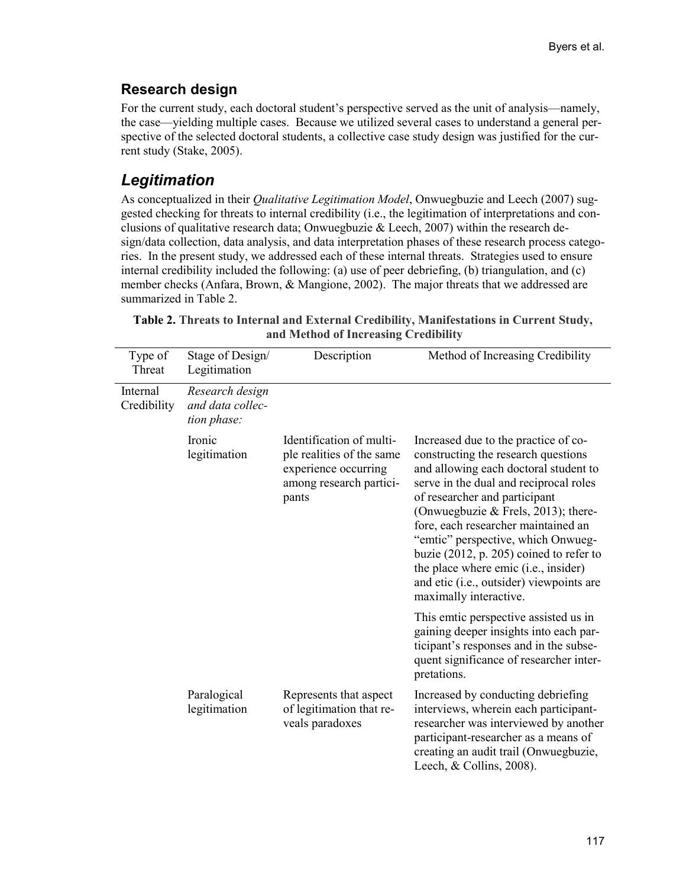### **Research design**

For the current study, each doctoral student's perspective served as the unit of analysis—namely, the case—yielding multiple cases. Because we utilized several cases to understand a general perspective of the selected doctoral students, a collective case study design was justified for the current study (Stake, 2005).

### *Legitimation*

As conceptualized in their *Qualitative Legitimation Model*, Onwuegbuzie and Leech (2007) suggested checking for threats to internal credibility (i.e., the legitimation of interpretations and conclusions of qualitative research data; Onwuegbuzie & Leech, 2007) within the research design/data collection, data analysis, and data interpretation phases of these research process categories. In the present study, we addressed each of these internal threats. Strategies used to ensure internal credibility included the following: (a) use of peer debriefing, (b) triangulation, and (c) member checks (Anfara, Brown, & Mangione, 2002). The major threats that we addressed are summarized in Table 2.

| Type of<br>Threat       | Stage of Design/<br>Legitimation                   | Description                                                                                                       | Method of Increasing Credibility                                                                                                                                                                                                                                                                                                                                                                                                                                               |
|-------------------------|----------------------------------------------------|-------------------------------------------------------------------------------------------------------------------|--------------------------------------------------------------------------------------------------------------------------------------------------------------------------------------------------------------------------------------------------------------------------------------------------------------------------------------------------------------------------------------------------------------------------------------------------------------------------------|
| Internal<br>Credibility | Research design<br>and data collec-<br>tion phase: |                                                                                                                   |                                                                                                                                                                                                                                                                                                                                                                                                                                                                                |
|                         | Ironic<br>legitimation                             | Identification of multi-<br>ple realities of the same<br>experience occurring<br>among research partici-<br>pants | Increased due to the practice of co-<br>constructing the research questions<br>and allowing each doctoral student to<br>serve in the dual and reciprocal roles<br>of researcher and participant<br>(Onwuegbuzie & Frels, 2013); there-<br>fore, each researcher maintained an<br>"emtic" perspective, which Onwueg-<br>buzie $(2012, p. 205)$ coined to refer to<br>the place where emic (i.e., insider)<br>and etic (i.e., outsider) viewpoints are<br>maximally interactive. |
|                         |                                                    |                                                                                                                   | This emtic perspective assisted us in<br>gaining deeper insights into each par-<br>ticipant's responses and in the subse-<br>quent significance of researcher inter-<br>pretations.                                                                                                                                                                                                                                                                                            |
|                         | Paralogical<br>legitimation                        | Represents that aspect<br>of legitimation that re-<br>veals paradoxes                                             | Increased by conducting debriefing<br>interviews, wherein each participant-<br>researcher was interviewed by another<br>participant-researcher as a means of<br>creating an audit trail (Onwuegbuzie,<br>Leech, $& Collins, 2008).$                                                                                                                                                                                                                                            |

| Table 2. Threats to Internal and External Credibility, Manifestations in Current Study, |
|-----------------------------------------------------------------------------------------|
| and Method of Increasing Credibility                                                    |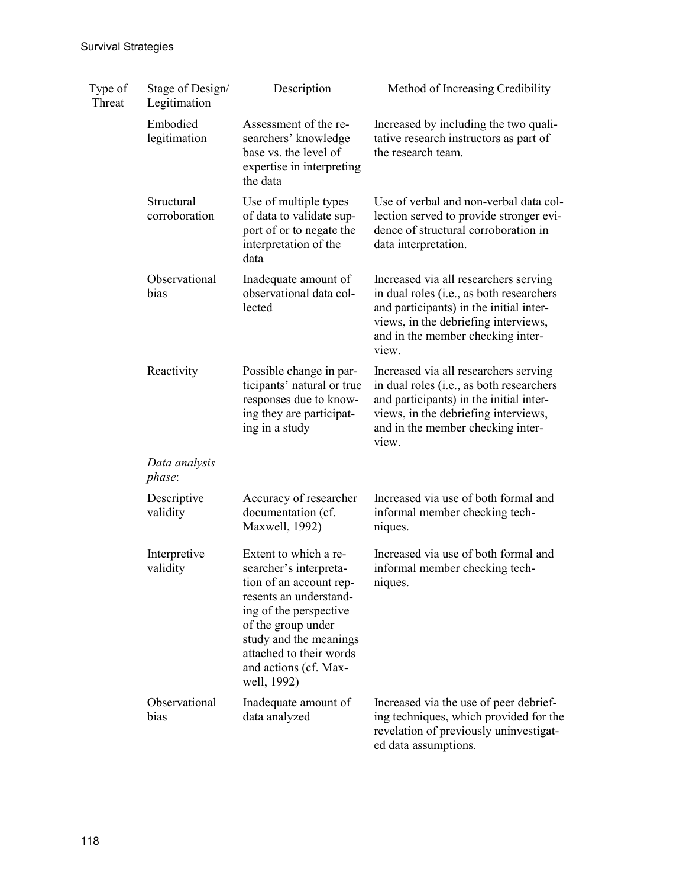| Type of<br>Threat | Stage of Design/<br>Legitimation | Description                                                                                                                                                                                                                                       | Method of Increasing Credibility                                                                                                                                                                                   |
|-------------------|----------------------------------|---------------------------------------------------------------------------------------------------------------------------------------------------------------------------------------------------------------------------------------------------|--------------------------------------------------------------------------------------------------------------------------------------------------------------------------------------------------------------------|
|                   | Embodied<br>legitimation         | Assessment of the re-<br>searchers' knowledge<br>base vs. the level of<br>expertise in interpreting<br>the data                                                                                                                                   | Increased by including the two quali-<br>tative research instructors as part of<br>the research team.                                                                                                              |
|                   | Structural<br>corroboration      | Use of multiple types<br>of data to validate sup-<br>port of or to negate the<br>interpretation of the<br>data                                                                                                                                    | Use of verbal and non-verbal data col-<br>lection served to provide stronger evi-<br>dence of structural corroboration in<br>data interpretation.                                                                  |
|                   | Observational<br>bias            | Inadequate amount of<br>observational data col-<br>lected                                                                                                                                                                                         | Increased via all researchers serving<br>in dual roles (i.e., as both researchers<br>and participants) in the initial inter-<br>views, in the debriefing interviews,<br>and in the member checking inter-<br>view. |
|                   | Reactivity                       | Possible change in par-<br>ticipants' natural or true<br>responses due to know-<br>ing they are participat-<br>ing in a study                                                                                                                     | Increased via all researchers serving<br>in dual roles (i.e., as both researchers<br>and participants) in the initial inter-<br>views, in the debriefing interviews,<br>and in the member checking inter-<br>view. |
|                   | Data analysis<br>phase:          |                                                                                                                                                                                                                                                   |                                                                                                                                                                                                                    |
|                   | Descriptive<br>validity          | Accuracy of researcher<br>documentation (cf.<br>Maxwell, 1992)                                                                                                                                                                                    | Increased via use of both formal and<br>informal member checking tech-<br>niques.                                                                                                                                  |
|                   | Interpretive<br>validity         | Extent to which a re-<br>searcher's interpreta-<br>tion of an account rep-<br>resents an understand-<br>ing of the perspective<br>of the group under<br>study and the meanings<br>attached to their words<br>and actions (cf. Max-<br>well, 1992) | Increased via use of both formal and<br>informal member checking tech-<br>niques.                                                                                                                                  |
|                   | Observational<br>bias            | Inadequate amount of<br>data analyzed                                                                                                                                                                                                             | Increased via the use of peer debrief-<br>ing techniques, which provided for the<br>revelation of previously uninvestigat-<br>ed data assumptions.                                                                 |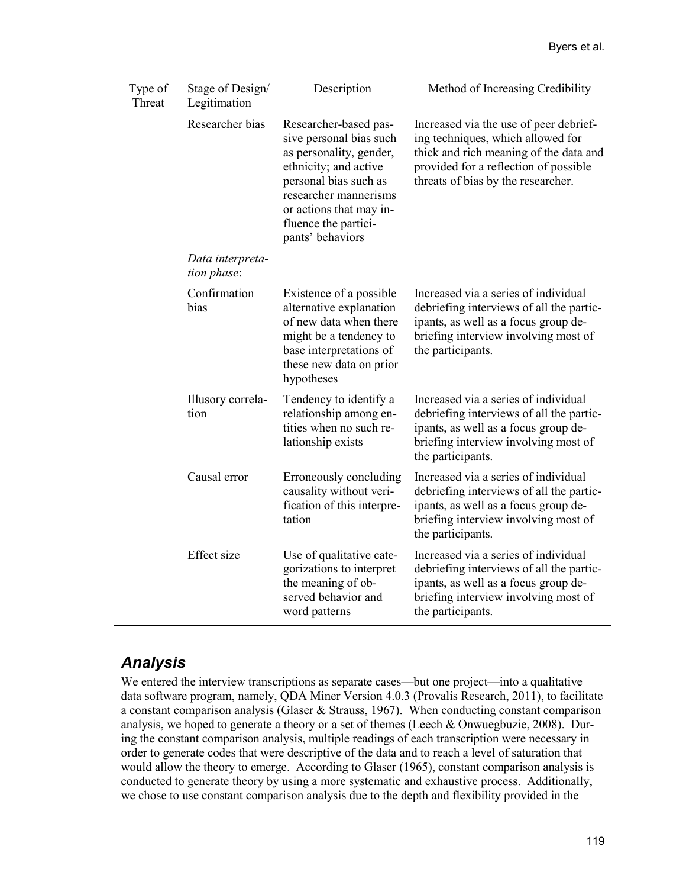| Type of | Stage of Design/                | Description                                                                                                                                                                                                                   | Method of Increasing Credibility                                                                                                                                                                     |
|---------|---------------------------------|-------------------------------------------------------------------------------------------------------------------------------------------------------------------------------------------------------------------------------|------------------------------------------------------------------------------------------------------------------------------------------------------------------------------------------------------|
| Threat  | Legitimation                    |                                                                                                                                                                                                                               |                                                                                                                                                                                                      |
|         | Researcher bias                 | Researcher-based pas-<br>sive personal bias such<br>as personality, gender,<br>ethnicity; and active<br>personal bias such as<br>researcher mannerisms<br>or actions that may in-<br>fluence the partici-<br>pants' behaviors | Increased via the use of peer debrief-<br>ing techniques, which allowed for<br>thick and rich meaning of the data and<br>provided for a reflection of possible<br>threats of bias by the researcher. |
|         | Data interpreta-<br>tion phase: |                                                                                                                                                                                                                               |                                                                                                                                                                                                      |
|         | Confirmation<br>bias            | Existence of a possible<br>alternative explanation<br>of new data when there<br>might be a tendency to<br>base interpretations of<br>these new data on prior<br>hypotheses                                                    | Increased via a series of individual<br>debriefing interviews of all the partic-<br>ipants, as well as a focus group de-<br>briefing interview involving most of<br>the participants.                |
|         | Illusory correla-<br>tion       | Tendency to identify a<br>relationship among en-<br>tities when no such re-<br>lationship exists                                                                                                                              | Increased via a series of individual<br>debriefing interviews of all the partic-<br>ipants, as well as a focus group de-<br>briefing interview involving most of<br>the participants.                |
|         | Causal error                    | Erroneously concluding<br>causality without veri-<br>fication of this interpre-<br>tation                                                                                                                                     | Increased via a series of individual<br>debriefing interviews of all the partic-<br>ipants, as well as a focus group de-<br>briefing interview involving most of<br>the participants.                |
|         | Effect size                     | Use of qualitative cate-<br>gorizations to interpret<br>the meaning of ob-<br>served behavior and<br>word patterns                                                                                                            | Increased via a series of individual<br>debriefing interviews of all the partic-<br>ipants, as well as a focus group de-<br>briefing interview involving most of<br>the participants.                |

## *Analysis*

We entered the interview transcriptions as separate cases—but one project—into a qualitative data software program, namely, QDA Miner Version 4.0.3 (Provalis Research, 2011), to facilitate a constant comparison analysis (Glaser & Strauss, 1967). When conducting constant comparison analysis, we hoped to generate a theory or a set of themes (Leech & Onwuegbuzie, 2008). During the constant comparison analysis, multiple readings of each transcription were necessary in order to generate codes that were descriptive of the data and to reach a level of saturation that would allow the theory to emerge. According to Glaser (1965), constant comparison analysis is conducted to generate theory by using a more systematic and exhaustive process. Additionally, we chose to use constant comparison analysis due to the depth and flexibility provided in the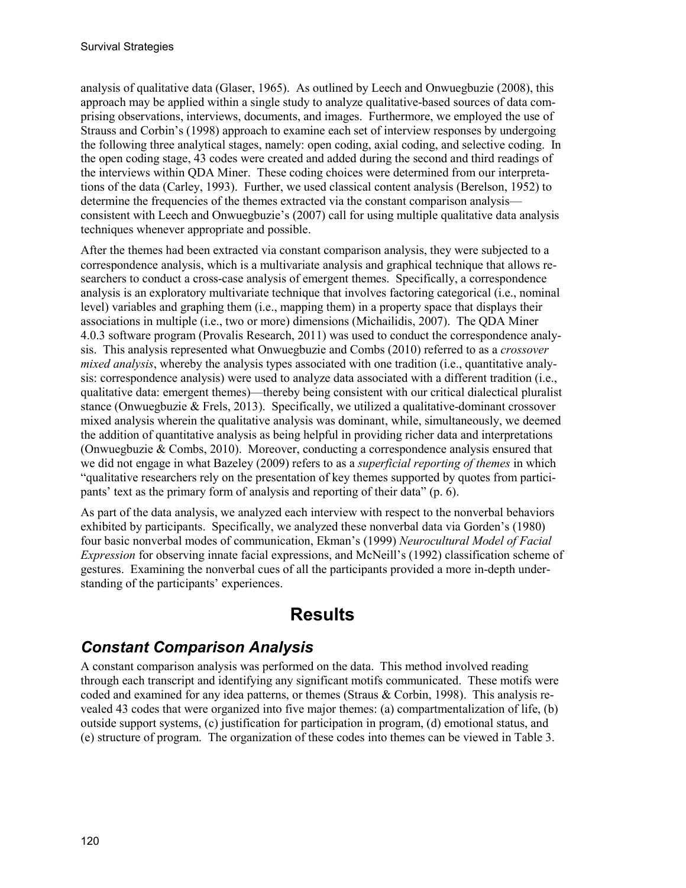analysis of qualitative data (Glaser, 1965). As outlined by Leech and Onwuegbuzie (2008), this approach may be applied within a single study to analyze qualitative-based sources of data comprising observations, interviews, documents, and images. Furthermore, we employed the use of Strauss and Corbin's (1998) approach to examine each set of interview responses by undergoing the following three analytical stages, namely: open coding, axial coding, and selective coding. In the open coding stage, 43 codes were created and added during the second and third readings of the interviews within QDA Miner. These coding choices were determined from our interpretations of the data (Carley, 1993). Further, we used classical content analysis (Berelson, 1952) to determine the frequencies of the themes extracted via the constant comparison analysis consistent with Leech and Onwuegbuzie's (2007) call for using multiple qualitative data analysis techniques whenever appropriate and possible.

After the themes had been extracted via constant comparison analysis, they were subjected to a correspondence analysis, which is a multivariate analysis and graphical technique that allows researchers to conduct a cross-case analysis of emergent themes. Specifically, a correspondence analysis is an exploratory multivariate technique that involves factoring categorical (i.e., nominal level) variables and graphing them (i.e., mapping them) in a property space that displays their associations in multiple (i.e., two or more) dimensions (Michailidis, 2007). The QDA Miner 4.0.3 software program (Provalis Research, 2011) was used to conduct the correspondence analysis. This analysis represented what Onwuegbuzie and Combs (2010) referred to as a *crossover mixed analysis*, whereby the analysis types associated with one tradition (i.e., quantitative analysis: correspondence analysis) were used to analyze data associated with a different tradition (i.e., qualitative data: emergent themes)—thereby being consistent with our critical dialectical pluralist stance (Onwuegbuzie & Frels, 2013). Specifically, we utilized a qualitative-dominant crossover mixed analysis wherein the qualitative analysis was dominant, while, simultaneously, we deemed the addition of quantitative analysis as being helpful in providing richer data and interpretations (Onwuegbuzie & Combs, 2010). Moreover, conducting a correspondence analysis ensured that we did not engage in what Bazeley (2009) refers to as a *superficial reporting of themes* in which "qualitative researchers rely on the presentation of key themes supported by quotes from participants' text as the primary form of analysis and reporting of their data" (p. 6).

As part of the data analysis, we analyzed each interview with respect to the nonverbal behaviors exhibited by participants. Specifically, we analyzed these nonverbal data via Gorden's (1980) four basic nonverbal modes of communication, Ekman's (1999) *Neurocultural Model of Facial Expression* for observing innate facial expressions, and McNeill's (1992) classification scheme of gestures. Examining the nonverbal cues of all the participants provided a more in-depth understanding of the participants' experiences.

# **Results**

## *Constant Comparison Analysis*

A constant comparison analysis was performed on the data. This method involved reading through each transcript and identifying any significant motifs communicated. These motifs were coded and examined for any idea patterns, or themes (Straus & Corbin, 1998). This analysis revealed 43 codes that were organized into five major themes: (a) compartmentalization of life, (b) outside support systems, (c) justification for participation in program, (d) emotional status, and (e) structure of program. The organization of these codes into themes can be viewed in Table 3.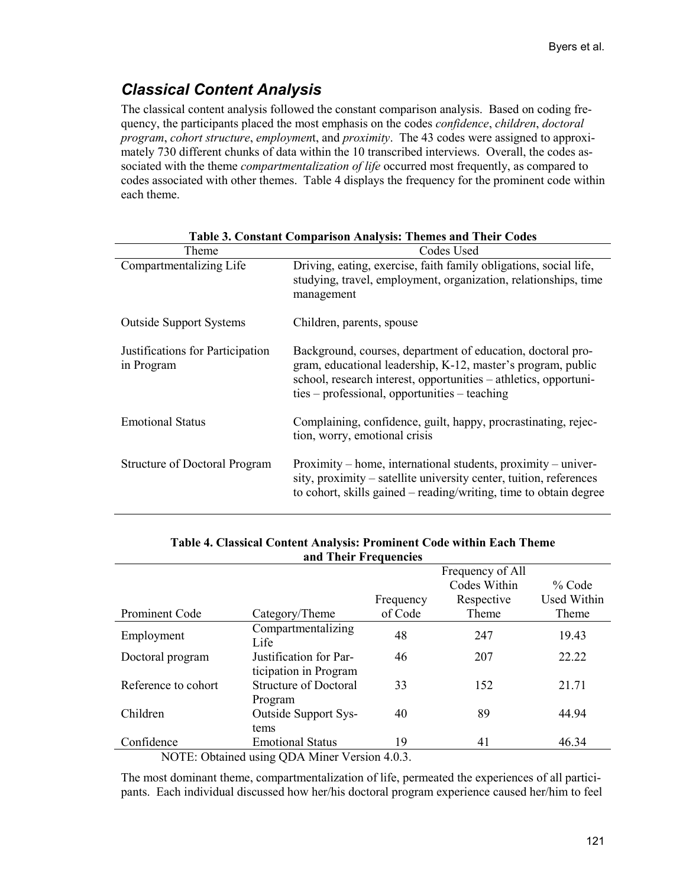## *Classical Content Analysis*

The classical content analysis followed the constant comparison analysis. Based on coding frequency, the participants placed the most emphasis on the codes *confidence*, *children*, *doctoral program*, *cohort structure*, *employmen*t, and *proximity*. The 43 codes were assigned to approximately 730 different chunks of data within the 10 transcribed interviews. Overall, the codes associated with the theme *compartmentalization of life* occurred most frequently, as compared to codes associated with other themes. Table 4 displays the frequency for the prominent code within each theme.

| <b>Table 3. Constant Comparison Analysis: Themes and Their Codes</b> |                                                                                                                                                                                                                                                  |  |  |
|----------------------------------------------------------------------|--------------------------------------------------------------------------------------------------------------------------------------------------------------------------------------------------------------------------------------------------|--|--|
| Theme                                                                | Codes Used                                                                                                                                                                                                                                       |  |  |
| Compartmentalizing Life                                              | Driving, eating, exercise, faith family obligations, social life,<br>studying, travel, employment, organization, relationships, time<br>management                                                                                               |  |  |
| <b>Outside Support Systems</b>                                       | Children, parents, spouse                                                                                                                                                                                                                        |  |  |
| Justifications for Participation<br>in Program                       | Background, courses, department of education, doctoral pro-<br>gram, educational leadership, K-12, master's program, public<br>school, research interest, opportunities - athletics, opportuni-<br>ties – professional, opportunities – teaching |  |  |
| <b>Emotional Status</b>                                              | Complaining, confidence, guilt, happy, procrastinating, rejec-<br>tion, worry, emotional crisis                                                                                                                                                  |  |  |
| <b>Structure of Doctoral Program</b>                                 | Proximity – home, international students, proximity – univer-<br>sity, proximity – satellite university center, tuition, references<br>to cohort, skills gained – reading/writing, time to obtain degree                                         |  |  |

| Table 4. Classical Content Analysis: Prominent Code within Each Theme |
|-----------------------------------------------------------------------|
| and Their Frequencies                                                 |

|                                               |                                                 |           | Frequency of All |                    |
|-----------------------------------------------|-------------------------------------------------|-----------|------------------|--------------------|
|                                               |                                                 |           | Codes Within     | $%$ Code           |
|                                               |                                                 | Frequency | Respective       | <b>Used Within</b> |
| Prominent Code                                | Category/Theme                                  | of Code   | Theme            | Theme              |
| Employment                                    | Compartmentalizing<br>Life                      | 48        | 247              | 19.43              |
| Doctoral program                              | Justification for Par-<br>ticipation in Program | 46        | 207              | 22 22              |
| Reference to cohort                           | <b>Structure of Doctoral</b><br>Program         | 33        | 152              | 21.71              |
| Children                                      | <b>Outside Support Sys-</b><br>tems             | 40        | 89               | 44.94              |
| Confidence                                    | <b>Emotional Status</b>                         | 19        | 41               | 46.34              |
| NOTE: Obtained using QDA Miner Version 4.0.3. |                                                 |           |                  |                    |

The most dominant theme, compartmentalization of life, permeated the experiences of all participants. Each individual discussed how her/his doctoral program experience caused her/him to feel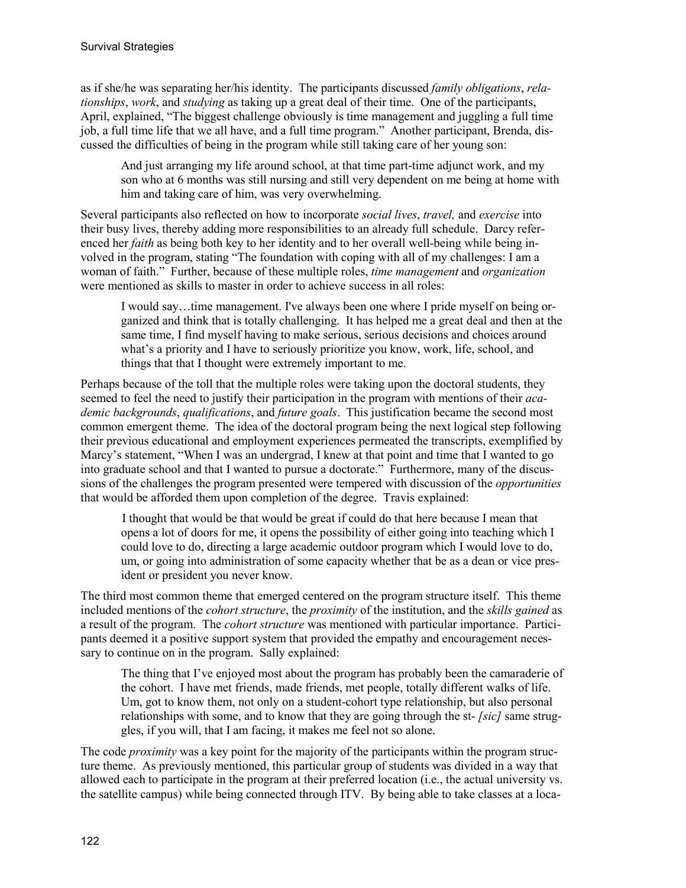as if she/he was separating her/his identity. The participants discussed *family obligations*, *relationships*, *work*, and *studying* as taking up a great deal of their time. One of the participants, April, explained, "The biggest challenge obviously is time management and juggling a full time job, a full time life that we all have, and a full time program." Another participant, Brenda, discussed the difficulties of being in the program while still taking care of her young son:

And just arranging my life around school, at that time part-time adjunct work, and my son who at 6 months was still nursing and still very dependent on me being at home with him and taking care of him, was very overwhelming.

Several participants also reflected on how to incorporate *social lives*, *travel,* and *exercise* into their busy lives, thereby adding more responsibilities to an already full schedule. Darcy referenced her *faith* as being both key to her identity and to her overall well-being while being involved in the program, stating "The foundation with coping with all of my challenges: I am a woman of faith." Further, because of these multiple roles, *time management* and *organization* were mentioned as skills to master in order to achieve success in all roles:

I would say…time management. I've always been one where I pride myself on being organized and think that is totally challenging. It has helped me a great deal and then at the same time, I find myself having to make serious, serious decisions and choices around what's a priority and I have to seriously prioritize you know, work, life, school, and things that that I thought were extremely important to me.

Perhaps because of the toll that the multiple roles were taking upon the doctoral students, they seemed to feel the need to justify their participation in the program with mentions of their *academic backgrounds*, *qualifications*, and *future goals*. This justification became the second most common emergent theme. The idea of the doctoral program being the next logical step following their previous educational and employment experiences permeated the transcripts, exemplified by Marcy's statement, "When I was an undergrad, I knew at that point and time that I wanted to go into graduate school and that I wanted to pursue a doctorate." Furthermore, many of the discussions of the challenges the program presented were tempered with discussion of the *opportunities* that would be afforded them upon completion of the degree. Travis explained:

I thought that would be that would be great if could do that here because I mean that opens a lot of doors for me, it opens the possibility of either going into teaching which I could love to do, directing a large academic outdoor program which I would love to do, um, or going into administration of some capacity whether that be as a dean or vice president or president you never know.

The third most common theme that emerged centered on the program structure itself. This theme included mentions of the *cohort structure*, the *proximity* of the institution, and the *skills gained* as a result of the program. The *cohort structure* was mentioned with particular importance. Participants deemed it a positive support system that provided the empathy and encouragement necessary to continue on in the program. Sally explained:

The thing that I've enjoyed most about the program has probably been the camaraderie of the cohort. I have met friends, made friends, met people, totally different walks of life. Um, got to know them, not only on a student-cohort type relationship, but also personal relationships with some, and to know that they are going through the st- *[sic]* same struggles, if you will, that I am facing, it makes me feel not so alone.

The code *proximity* was a key point for the majority of the participants within the program structure theme. As previously mentioned, this particular group of students was divided in a way that allowed each to participate in the program at their preferred location (i.e., the actual university vs. the satellite campus) while being connected through ITV. By being able to take classes at a loca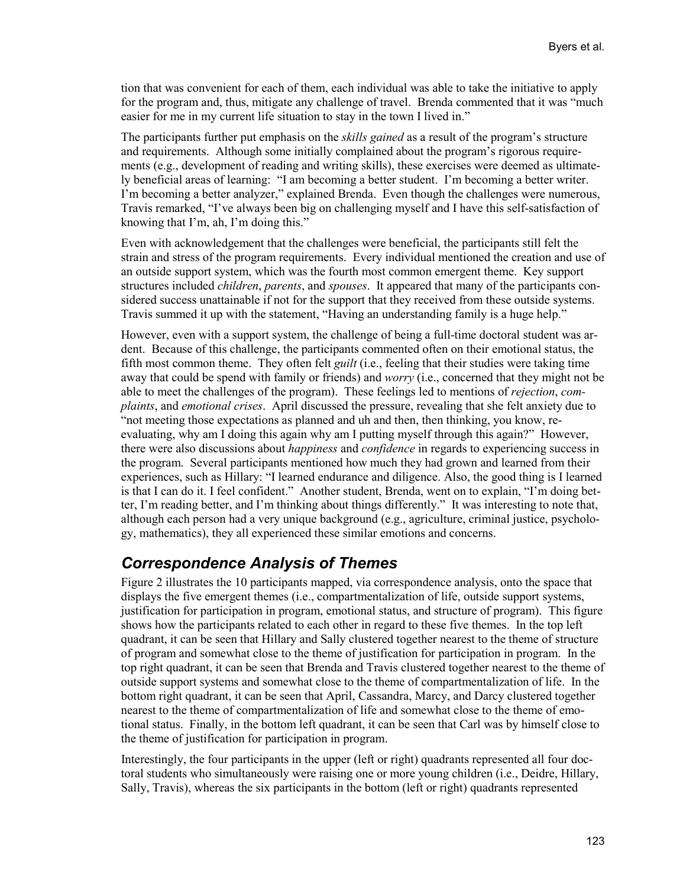tion that was convenient for each of them, each individual was able to take the initiative to apply for the program and, thus, mitigate any challenge of travel. Brenda commented that it was "much easier for me in my current life situation to stay in the town I lived in."

The participants further put emphasis on the *skills gained* as a result of the program's structure and requirements. Although some initially complained about the program's rigorous requirements (e.g., development of reading and writing skills), these exercises were deemed as ultimately beneficial areas of learning: "I am becoming a better student. I'm becoming a better writer. I'm becoming a better analyzer," explained Brenda. Even though the challenges were numerous, Travis remarked, "I've always been big on challenging myself and I have this self-satisfaction of knowing that I'm, ah, I'm doing this."

Even with acknowledgement that the challenges were beneficial, the participants still felt the strain and stress of the program requirements. Every individual mentioned the creation and use of an outside support system, which was the fourth most common emergent theme. Key support structures included *children*, *parents*, and *spouses*. It appeared that many of the participants considered success unattainable if not for the support that they received from these outside systems. Travis summed it up with the statement, "Having an understanding family is a huge help."

However, even with a support system, the challenge of being a full-time doctoral student was ardent. Because of this challenge, the participants commented often on their emotional status, the fifth most common theme. They often felt *guilt* (i.e., feeling that their studies were taking time away that could be spend with family or friends) and *worry* (i.e., concerned that they might not be able to meet the challenges of the program). These feelings led to mentions of *rejection*, *complaints*, and *emotional crises*. April discussed the pressure, revealing that she felt anxiety due to "not meeting those expectations as planned and uh and then, then thinking, you know, reevaluating, why am I doing this again why am I putting myself through this again?" However, there were also discussions about *happiness* and *confidence* in regards to experiencing success in the program. Several participants mentioned how much they had grown and learned from their experiences, such as Hillary: "I learned endurance and diligence. Also, the good thing is I learned is that I can do it. I feel confident." Another student, Brenda, went on to explain, "I'm doing better, I'm reading better, and I'm thinking about things differently." It was interesting to note that, although each person had a very unique background (e.g., agriculture, criminal justice, psychology, mathematics), they all experienced these similar emotions and concerns.

### *Correspondence Analysis of Themes*

Figure 2 illustrates the 10 participants mapped, via correspondence analysis, onto the space that displays the five emergent themes (i.e., compartmentalization of life, outside support systems, justification for participation in program, emotional status, and structure of program). This figure shows how the participants related to each other in regard to these five themes. In the top left quadrant, it can be seen that Hillary and Sally clustered together nearest to the theme of structure of program and somewhat close to the theme of justification for participation in program. In the top right quadrant, it can be seen that Brenda and Travis clustered together nearest to the theme of outside support systems and somewhat close to the theme of compartmentalization of life. In the bottom right quadrant, it can be seen that April, Cassandra, Marcy, and Darcy clustered together nearest to the theme of compartmentalization of life and somewhat close to the theme of emotional status. Finally, in the bottom left quadrant, it can be seen that Carl was by himself close to the theme of justification for participation in program.

Interestingly, the four participants in the upper (left or right) quadrants represented all four doctoral students who simultaneously were raising one or more young children (i.e., Deidre, Hillary, Sally, Travis), whereas the six participants in the bottom (left or right) quadrants represented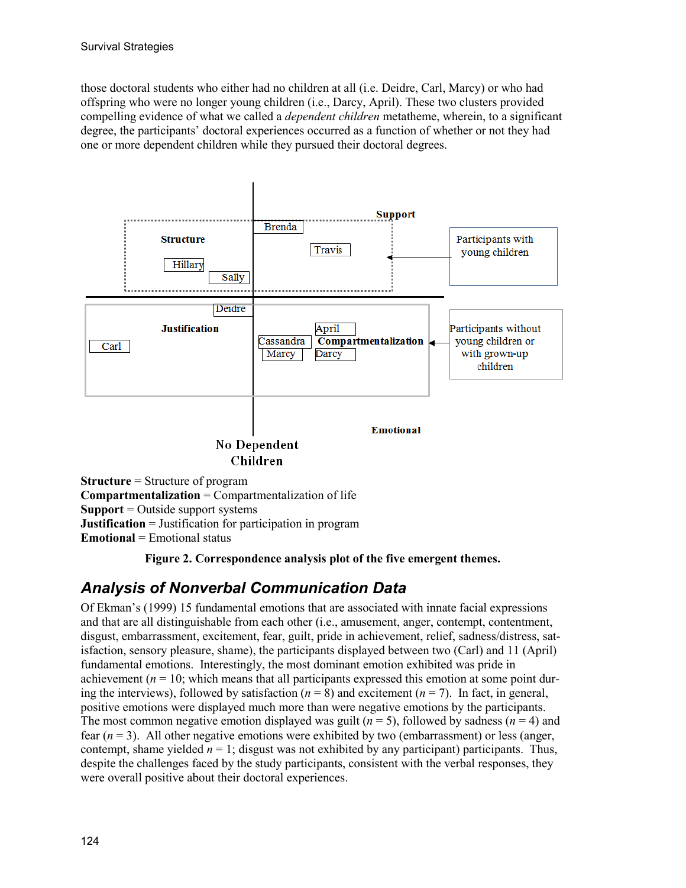those doctoral students who either had no children at all (i.e. Deidre, Carl, Marcy) or who had offspring who were no longer young children (i.e., Darcy, April). These two clusters provided compelling evidence of what we called a *dependent children* metatheme, wherein, to a significant degree, the participants' doctoral experiences occurred as a function of whether or not they had one or more dependent children while they pursued their doctoral degrees.



**Support** = Outside support systems

**Justification** = Justification for participation in program

**Emotional** = Emotional status

#### **Figure 2. Correspondence analysis plot of the five emergent themes.**

### *Analysis of Nonverbal Communication Data*

Of Ekman's (1999) 15 fundamental emotions that are associated with innate facial expressions and that are all distinguishable from each other (i.e., amusement, anger, contempt, contentment, disgust, embarrassment, excitement, fear, guilt, pride in achievement, relief, sadness/distress, satisfaction, sensory pleasure, shame), the participants displayed between two (Carl) and 11 (April) fundamental emotions. Interestingly, the most dominant emotion exhibited was pride in achievement ( $n = 10$ ; which means that all participants expressed this emotion at some point during the interviews), followed by satisfaction  $(n = 8)$  and excitement  $(n = 7)$ . In fact, in general, positive emotions were displayed much more than were negative emotions by the participants. The most common negative emotion displayed was guilt ( $n = 5$ ), followed by sadness ( $n = 4$ ) and fear (*n* = 3). All other negative emotions were exhibited by two (embarrassment) or less (anger, contempt, shame yielded  $n = 1$ ; disgust was not exhibited by any participant) participants. Thus, despite the challenges faced by the study participants, consistent with the verbal responses, they were overall positive about their doctoral experiences.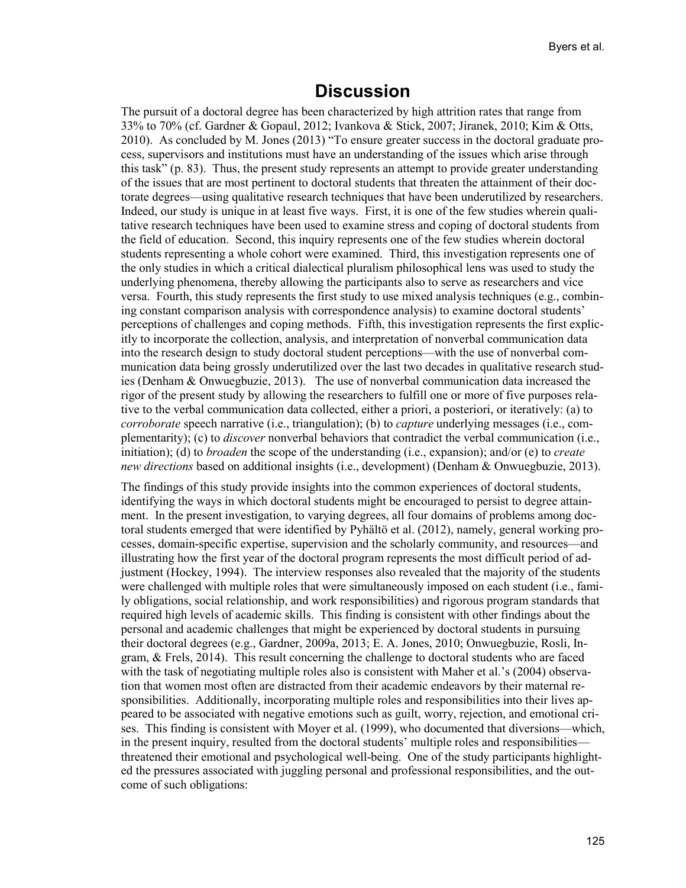### **Discussion**

The pursuit of a doctoral degree has been characterized by high attrition rates that range from 33% to 70% (cf. Gardner & Gopaul, 2012; Ivankova & Stick, 2007; Jiranek, 2010; Kim & Otts, 2010). As concluded by M. Jones (2013) "To ensure greater success in the doctoral graduate process, supervisors and institutions must have an understanding of the issues which arise through this task" (p. 83). Thus, the present study represents an attempt to provide greater understanding of the issues that are most pertinent to doctoral students that threaten the attainment of their doctorate degrees—using qualitative research techniques that have been underutilized by researchers. Indeed, our study is unique in at least five ways. First, it is one of the few studies wherein qualitative research techniques have been used to examine stress and coping of doctoral students from the field of education. Second, this inquiry represents one of the few studies wherein doctoral students representing a whole cohort were examined. Third, this investigation represents one of the only studies in which a critical dialectical pluralism philosophical lens was used to study the underlying phenomena, thereby allowing the participants also to serve as researchers and vice versa. Fourth, this study represents the first study to use mixed analysis techniques (e.g., combining constant comparison analysis with correspondence analysis) to examine doctoral students' perceptions of challenges and coping methods. Fifth, this investigation represents the first explicitly to incorporate the collection, analysis, and interpretation of nonverbal communication data into the research design to study doctoral student perceptions—with the use of nonverbal communication data being grossly underutilized over the last two decades in qualitative research studies (Denham & Onwuegbuzie, 2013). The use of nonverbal communication data increased the rigor of the present study by allowing the researchers to fulfill one or more of five purposes relative to the verbal communication data collected, either a priori, a posteriori, or iteratively: (a) to *corroborate* speech narrative (i.e., triangulation); (b) to *capture* underlying messages (i.e., complementarity); (c) to *discover* nonverbal behaviors that contradict the verbal communication (i.e., initiation); (d) to *broaden* the scope of the understanding (i.e., expansion); and/or (e) to *create new directions* based on additional insights (i.e., development) (Denham & Onwuegbuzie, 2013).

The findings of this study provide insights into the common experiences of doctoral students, identifying the ways in which doctoral students might be encouraged to persist to degree attainment. In the present investigation, to varying degrees, all four domains of problems among doctoral students emerged that were identified by Pyhältö et al. (2012), namely, general working processes, domain-specific expertise, supervision and the scholarly community, and resources—and illustrating how the first year of the doctoral program represents the most difficult period of adjustment (Hockey, 1994). The interview responses also revealed that the majority of the students were challenged with multiple roles that were simultaneously imposed on each student (i.e., family obligations, social relationship, and work responsibilities) and rigorous program standards that required high levels of academic skills. This finding is consistent with other findings about the personal and academic challenges that might be experienced by doctoral students in pursuing their doctoral degrees (e.g., Gardner, 2009a, 2013; E. A. Jones, 2010; Onwuegbuzie, Rosli, Ingram, & Frels, 2014). This result concerning the challenge to doctoral students who are faced with the task of negotiating multiple roles also is consistent with Maher et al.'s (2004) observation that women most often are distracted from their academic endeavors by their maternal responsibilities. Additionally, incorporating multiple roles and responsibilities into their lives appeared to be associated with negative emotions such as guilt, worry, rejection, and emotional crises. This finding is consistent with Moyer et al. (1999), who documented that diversions—which, in the present inquiry, resulted from the doctoral students' multiple roles and responsibilities threatened their emotional and psychological well-being. One of the study participants highlighted the pressures associated with juggling personal and professional responsibilities, and the outcome of such obligations: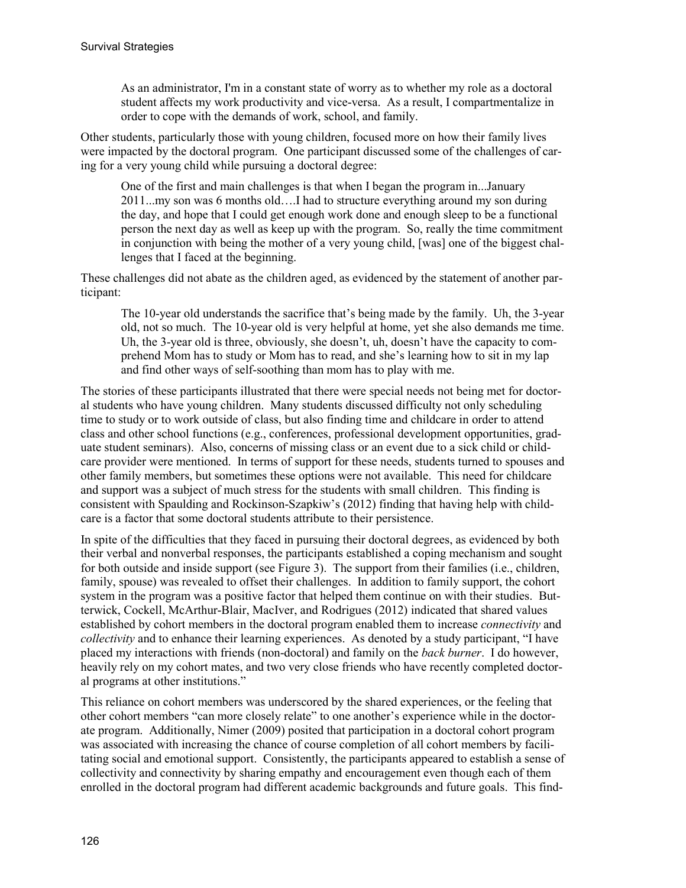As an administrator, I'm in a constant state of worry as to whether my role as a doctoral student affects my work productivity and vice-versa. As a result, I compartmentalize in order to cope with the demands of work, school, and family.

Other students, particularly those with young children, focused more on how their family lives were impacted by the doctoral program. One participant discussed some of the challenges of caring for a very young child while pursuing a doctoral degree:

One of the first and main challenges is that when I began the program in...January 2011...my son was 6 months old….I had to structure everything around my son during the day, and hope that I could get enough work done and enough sleep to be a functional person the next day as well as keep up with the program. So, really the time commitment in conjunction with being the mother of a very young child, [was] one of the biggest challenges that I faced at the beginning.

These challenges did not abate as the children aged, as evidenced by the statement of another participant:

The 10-year old understands the sacrifice that's being made by the family. Uh, the 3-year old, not so much. The 10-year old is very helpful at home, yet she also demands me time. Uh, the 3-year old is three, obviously, she doesn't, uh, doesn't have the capacity to comprehend Mom has to study or Mom has to read, and she's learning how to sit in my lap and find other ways of self-soothing than mom has to play with me.

The stories of these participants illustrated that there were special needs not being met for doctoral students who have young children. Many students discussed difficulty not only scheduling time to study or to work outside of class, but also finding time and childcare in order to attend class and other school functions (e.g., conferences, professional development opportunities, graduate student seminars). Also, concerns of missing class or an event due to a sick child or childcare provider were mentioned. In terms of support for these needs, students turned to spouses and other family members, but sometimes these options were not available. This need for childcare and support was a subject of much stress for the students with small children. This finding is consistent with Spaulding and Rockinson-Szapkiw's (2012) finding that having help with childcare is a factor that some doctoral students attribute to their persistence.

In spite of the difficulties that they faced in pursuing their doctoral degrees, as evidenced by both their verbal and nonverbal responses, the participants established a coping mechanism and sought for both outside and inside support (see Figure 3). The support from their families (i.e., children, family, spouse) was revealed to offset their challenges. In addition to family support, the cohort system in the program was a positive factor that helped them continue on with their studies. Butterwick, Cockell, McArthur-Blair, MacIver, and Rodrigues (2012) indicated that shared values established by cohort members in the doctoral program enabled them to increase *connectivity* and *collectivity* and to enhance their learning experiences. As denoted by a study participant, "I have placed my interactions with friends (non-doctoral) and family on the *back burner*. I do however, heavily rely on my cohort mates, and two very close friends who have recently completed doctoral programs at other institutions."

This reliance on cohort members was underscored by the shared experiences, or the feeling that other cohort members "can more closely relate" to one another's experience while in the doctorate program. Additionally, Nimer (2009) posited that participation in a doctoral cohort program was associated with increasing the chance of course completion of all cohort members by facilitating social and emotional support. Consistently, the participants appeared to establish a sense of collectivity and connectivity by sharing empathy and encouragement even though each of them enrolled in the doctoral program had different academic backgrounds and future goals. This find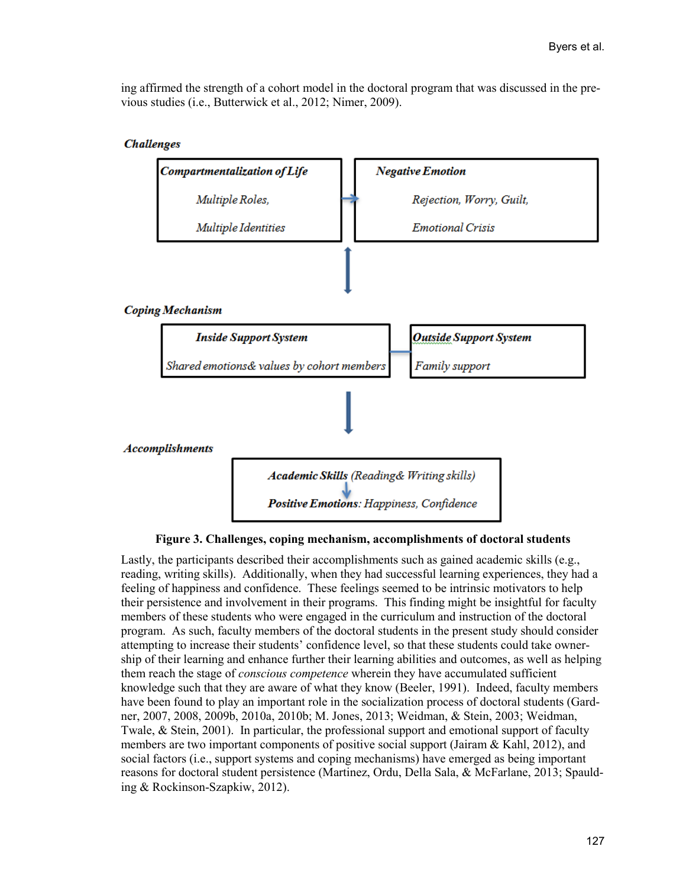ing affirmed the strength of a cohort model in the doctoral program that was discussed in the previous studies (i.e., Butterwick et al., 2012; Nimer, 2009).

#### **Challenges**





Lastly, the participants described their accomplishments such as gained academic skills (e.g., reading, writing skills). Additionally, when they had successful learning experiences, they had a feeling of happiness and confidence. These feelings seemed to be intrinsic motivators to help their persistence and involvement in their programs. This finding might be insightful for faculty members of these students who were engaged in the curriculum and instruction of the doctoral program. As such, faculty members of the doctoral students in the present study should consider attempting to increase their students' confidence level, so that these students could take ownership of their learning and enhance further their learning abilities and outcomes, as well as helping them reach the stage of *conscious competence* wherein they have accumulated sufficient knowledge such that they are aware of what they know (Beeler, 1991). Indeed, faculty members have been found to play an important role in the socialization process of doctoral students (Gardner, 2007, 2008, 2009b, 2010a, 2010b; M. Jones, 2013; Weidman, & Stein, 2003; Weidman, Twale, & Stein, 2001). In particular, the professional support and emotional support of faculty members are two important components of positive social support (Jairam  $\&$  Kahl, 2012), and social factors (i.e., support systems and coping mechanisms) have emerged as being important reasons for doctoral student persistence (Martinez, Ordu, Della Sala, & McFarlane, 2013; Spaulding & Rockinson-Szapkiw, 2012).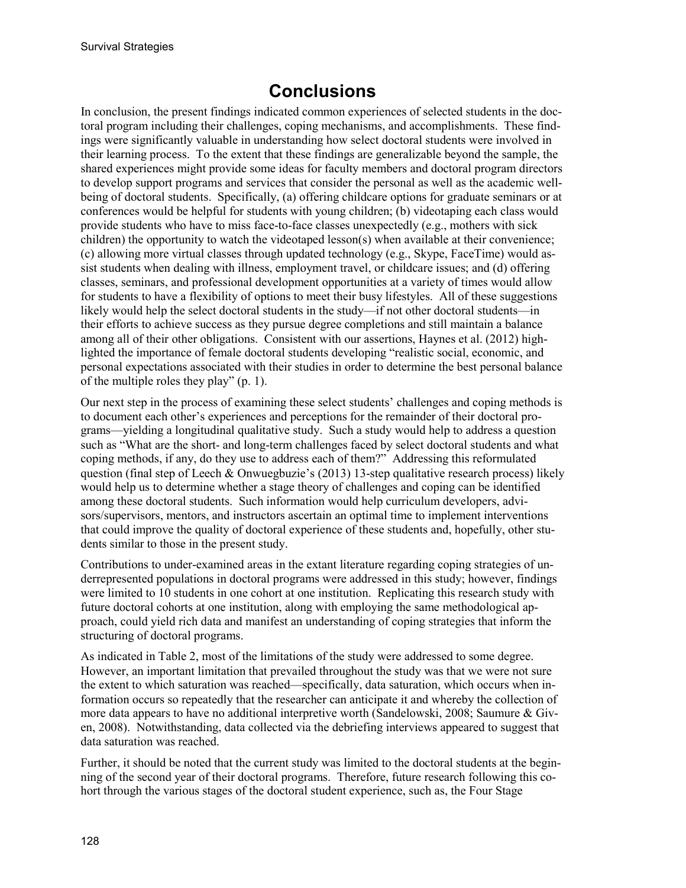# **Conclusions**

In conclusion, the present findings indicated common experiences of selected students in the doctoral program including their challenges, coping mechanisms, and accomplishments. These findings were significantly valuable in understanding how select doctoral students were involved in their learning process. To the extent that these findings are generalizable beyond the sample, the shared experiences might provide some ideas for faculty members and doctoral program directors to develop support programs and services that consider the personal as well as the academic wellbeing of doctoral students. Specifically, (a) offering childcare options for graduate seminars or at conferences would be helpful for students with young children; (b) videotaping each class would provide students who have to miss face-to-face classes unexpectedly (e.g., mothers with sick children) the opportunity to watch the videotaped lesson(s) when available at their convenience; (c) allowing more virtual classes through updated technology (e.g., Skype, FaceTime) would assist students when dealing with illness, employment travel, or childcare issues; and (d) offering classes, seminars, and professional development opportunities at a variety of times would allow for students to have a flexibility of options to meet their busy lifestyles. All of these suggestions likely would help the select doctoral students in the study—if not other doctoral students—in their efforts to achieve success as they pursue degree completions and still maintain a balance among all of their other obligations. Consistent with our assertions, Haynes et al. (2012) highlighted the importance of female doctoral students developing "realistic social, economic, and personal expectations associated with their studies in order to determine the best personal balance of the multiple roles they play" (p. 1).

Our next step in the process of examining these select students' challenges and coping methods is to document each other's experiences and perceptions for the remainder of their doctoral programs—yielding a longitudinal qualitative study. Such a study would help to address a question such as "What are the short- and long-term challenges faced by select doctoral students and what coping methods, if any, do they use to address each of them?" Addressing this reformulated question (final step of Leech & Onwuegbuzie's (2013) 13-step qualitative research process) likely would help us to determine whether a stage theory of challenges and coping can be identified among these doctoral students. Such information would help curriculum developers, advisors/supervisors, mentors, and instructors ascertain an optimal time to implement interventions that could improve the quality of doctoral experience of these students and, hopefully, other students similar to those in the present study.

Contributions to under-examined areas in the extant literature regarding coping strategies of underrepresented populations in doctoral programs were addressed in this study; however, findings were limited to 10 students in one cohort at one institution. Replicating this research study with future doctoral cohorts at one institution, along with employing the same methodological approach, could yield rich data and manifest an understanding of coping strategies that inform the structuring of doctoral programs.

As indicated in Table 2, most of the limitations of the study were addressed to some degree. However, an important limitation that prevailed throughout the study was that we were not sure the extent to which saturation was reached—specifically, data saturation, which occurs when information occurs so repeatedly that the researcher can anticipate it and whereby the collection of more data appears to have no additional interpretive worth (Sandelowski, 2008; Saumure & Given, 2008). Notwithstanding, data collected via the debriefing interviews appeared to suggest that data saturation was reached.

Further, it should be noted that the current study was limited to the doctoral students at the beginning of the second year of their doctoral programs. Therefore, future research following this cohort through the various stages of the doctoral student experience, such as, the Four Stage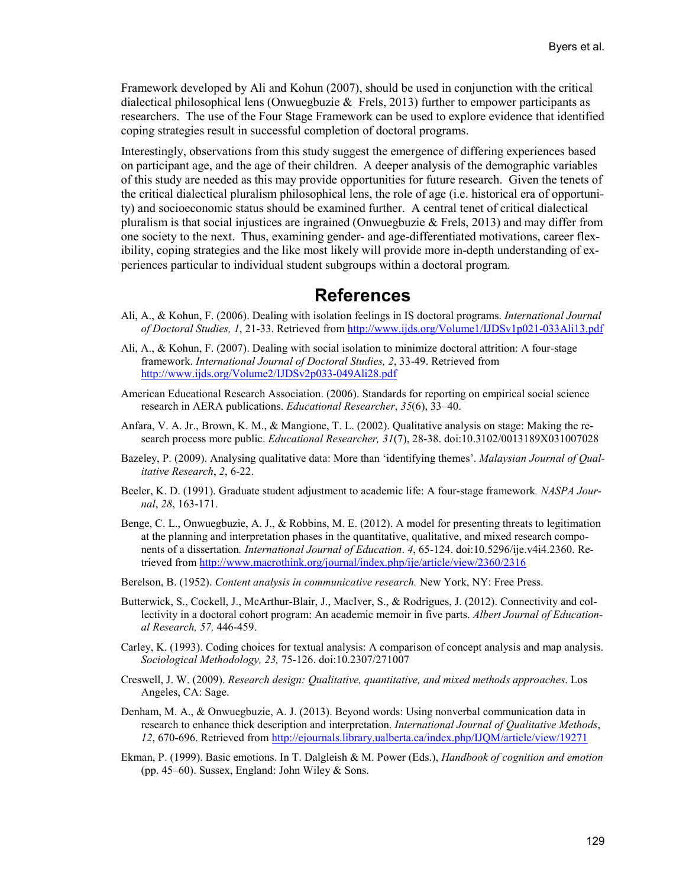Framework developed by Ali and Kohun (2007), should be used in conjunction with the critical dialectical philosophical lens (Onwuegbuzie  $\&$  Frels, 2013) further to empower participants as researchers. The use of the Four Stage Framework can be used to explore evidence that identified coping strategies result in successful completion of doctoral programs.

Interestingly, observations from this study suggest the emergence of differing experiences based on participant age, and the age of their children. A deeper analysis of the demographic variables of this study are needed as this may provide opportunities for future research. Given the tenets of the critical dialectical pluralism philosophical lens, the role of age (i.e. historical era of opportunity) and socioeconomic status should be examined further. A central tenet of critical dialectical pluralism is that social injustices are ingrained (Onwuegbuzie & Frels, 2013) and may differ from one society to the next. Thus, examining gender- and age-differentiated motivations, career flexibility, coping strategies and the like most likely will provide more in-depth understanding of experiences particular to individual student subgroups within a doctoral program.

## **References**

- Ali, A., & Kohun, F. (2006). Dealing with isolation feelings in IS doctoral programs. *International Journal of Doctoral Studies, 1*, 21-33. Retrieved from<http://www.ijds.org/Volume1/IJDSv1p021-033Ali13.pdf>
- Ali, A., & Kohun, F. (2007). Dealing with social isolation to minimize doctoral attrition: A four-stage framework. *International Journal of Doctoral Studies, 2*, 33-49. Retrieved from <http://www.ijds.org/Volume2/IJDSv2p033-049Ali28.pdf>
- American Educational Research Association. (2006). Standards for reporting on empirical social science research in AERA publications. *Educational Researcher*, *35*(6), 33–40.
- Anfara, V. A. Jr., Brown, K. M., & Mangione, T. L. (2002). Qualitative analysis on stage: Making the research process more public. *Educational Researcher, 31*(7), 28-38. doi:10.3102/0013189X031007028
- Bazeley, P. (2009). Analysing qualitative data: More than 'identifying themes'. *Malaysian Journal of Qualitative Research*, *2*, 6-22.
- Beeler, K. D. (1991). Graduate student adjustment to academic life: A four-stage framework*. NASPA Journal*, *28*, 163-171.
- Benge, C. L., Onwuegbuzie, A. J., & Robbins, M. E. (2012). A model for presenting threats to legitimation at the planning and interpretation phases in the quantitative, qualitative, and mixed research components of a dissertation*. International Journal of Education*. *4*, 65-124. doi:10.5296/ije.v4i4.2360. Retrieved from<http://www.macrothink.org/journal/index.php/ije/article/view/2360/2316>
- Berelson, B. (1952). *Content analysis in communicative research.* New York, NY: Free Press.
- Butterwick, S., Cockell, J., McArthur-Blair, J., MacIver, S., & Rodrigues, J. (2012). Connectivity and collectivity in a doctoral cohort program: An academic memoir in five parts. *Albert Journal of Educational Research, 57,* 446-459.
- Carley, K. (1993). Coding choices for textual analysis: A comparison of concept analysis and map analysis. *Sociological Methodology, 23,* 75-126. doi:10.2307/271007
- Creswell, J. W. (2009). *Research design: Qualitative, quantitative, and mixed methods approaches*. Los Angeles, CA: Sage.
- Denham, M. A., & Onwuegbuzie, A. J. (2013). Beyond words: Using nonverbal communication data in research to enhance thick description and interpretation. *International Journal of Qualitative Methods*, *12*, 670-696. Retrieved fro[m http://ejournals.library.ualberta.ca/index.php/IJQM/article/view/19271](http://ejournals.library.ualberta.ca/index.php/IJQM/article/view/19271)
- Ekman, P. (1999). Basic emotions. In T. Dalgleish & M. Power (Eds.), *Handbook of cognition and emotion*  (pp. 45–60). Sussex, England: John Wiley & Sons.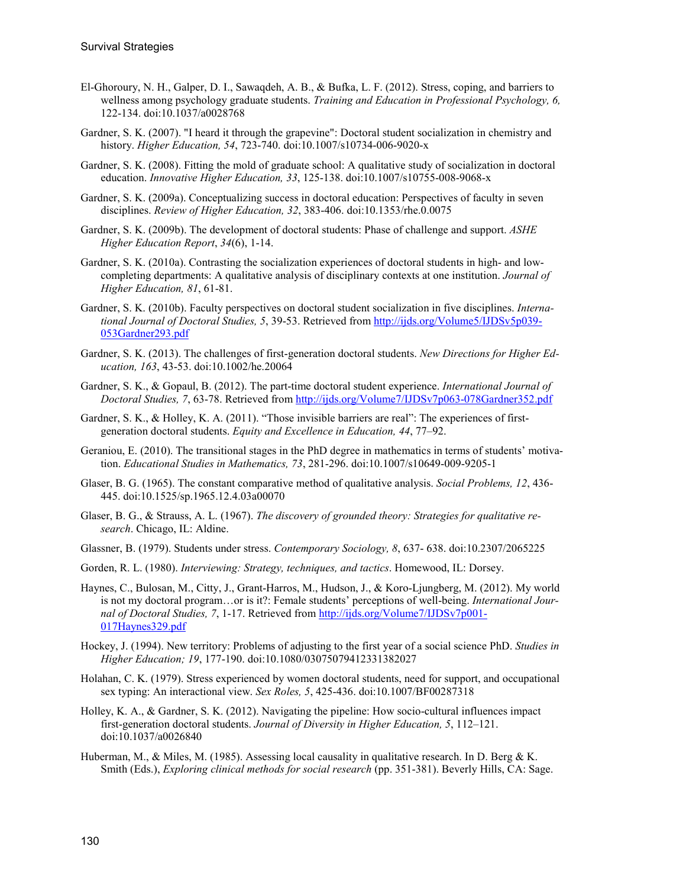- El-Ghoroury, N. H., Galper, D. I., Sawaqdeh, A. B., & Bufka, L. F. (2012). Stress, coping, and barriers to wellness among psychology graduate students. *Training and Education in Professional Psychology, 6,* 122-134. doi:10.1037/a0028768
- Gardner, S. K. (2007). "I heard it through the grapevine": Doctoral student socialization in chemistry and history. *Higher Education, 54*, 723-740. doi:10.1007/s10734-006-9020-x
- Gardner, S. K. (2008). Fitting the mold of graduate school: A qualitative study of socialization in doctoral education. *Innovative Higher Education, 33*, 125-138. doi:10.1007/s10755-008-9068-x
- Gardner, S. K. (2009a). Conceptualizing success in doctoral education: Perspectives of faculty in seven disciplines. *Review of Higher Education, 32*, 383-406. doi:10.1353/rhe.0.0075
- Gardner, S. K. (2009b). The development of doctoral students: Phase of challenge and support. *ASHE Higher Education Report*, *34*(6), 1-14.
- Gardner, S. K. (2010a). Contrasting the socialization experiences of doctoral students in high- and lowcompleting departments: A qualitative analysis of disciplinary contexts at one institution. *Journal of Higher Education, 81*, 61-81.
- Gardner, S. K. (2010b). Faculty perspectives on doctoral student socialization in five disciplines. *International Journal of Doctoral Studies, 5*, 39-53. Retrieved from [http://ijds.org/Volume5/IJDSv5p039-](http://ijds.org/Volume5/IJDSv5p039-053Gardner293.pdf) [053Gardner293.pdf](http://ijds.org/Volume5/IJDSv5p039-053Gardner293.pdf)
- Gardner, S. K. (2013). The challenges of first-generation doctoral students. *New Directions for Higher Education, 163*, 43-53. doi:10.1002/he.20064
- Gardner, S. K., & Gopaul, B. (2012). The part-time doctoral student experience. *International Journal of Doctoral Studies, 7*, 63-78. Retrieved from<http://ijds.org/Volume7/IJDSv7p063-078Gardner352.pdf>
- Gardner, S. K., & Holley, K. A. (2011). "Those invisible barriers are real": The experiences of firstgeneration doctoral students. *Equity and Excellence in Education, 44*, 77–92.
- Geraniou, E. (2010). The transitional stages in the PhD degree in mathematics in terms of students' motivation. *Educational Studies in Mathematics, 73*, 281-296. doi:10.1007/s10649-009-9205-1
- Glaser, B. G. (1965). The constant comparative method of qualitative analysis. *Social Problems, 12*, 436- 445. doi:10.1525/sp.1965.12.4.03a00070
- Glaser, B. G., & Strauss, A. L. (1967). *The discovery of grounded theory: Strategies for qualitative research*. Chicago, IL: Aldine.
- Glassner, B. (1979). Students under stress. *Contemporary Sociology, 8*, 637- 638. doi:10.2307/2065225
- Gorden, R. L. (1980). *Interviewing: Strategy, techniques, and tactics*. Homewood, IL: Dorsey.
- Haynes, C., Bulosan, M., Citty, J., Grant-Harros, M., Hudson, J., & Koro-Ljungberg, M. (2012). My world is not my doctoral program…or is it?: Female students' perceptions of well-being. *International Journal of Doctoral Studies, 7*, 1-17. Retrieved fro[m http://ijds.org/Volume7/IJDSv7p001-](http://ijds.org/Volume7/IJDSv7p001-017Haynes329.pdf) [017Haynes329.pdf](http://ijds.org/Volume7/IJDSv7p001-017Haynes329.pdf)
- Hockey, J. (1994). New territory: Problems of adjusting to the first year of a social science PhD. *Studies in Higher Education; 19*, 177-190. doi:10.1080/03075079412331382027
- Holahan, C. K. (1979). Stress experienced by women doctoral students, need for support, and occupational sex typing: An interactional view. *Sex Roles, 5*, 425-436. doi:10.1007/BF00287318
- Holley, K. A., & Gardner, S. K. (2012). Navigating the pipeline: How socio-cultural influences impact first-generation doctoral students. *Journal of Diversity in Higher Education, 5*, 112–121. doi:10.1037/a0026840
- Huberman, M., & Miles, M. (1985). Assessing local causality in qualitative research. In D. Berg & K. Smith (Eds.), *Exploring clinical methods for social research* (pp. 351-381). Beverly Hills, CA: Sage.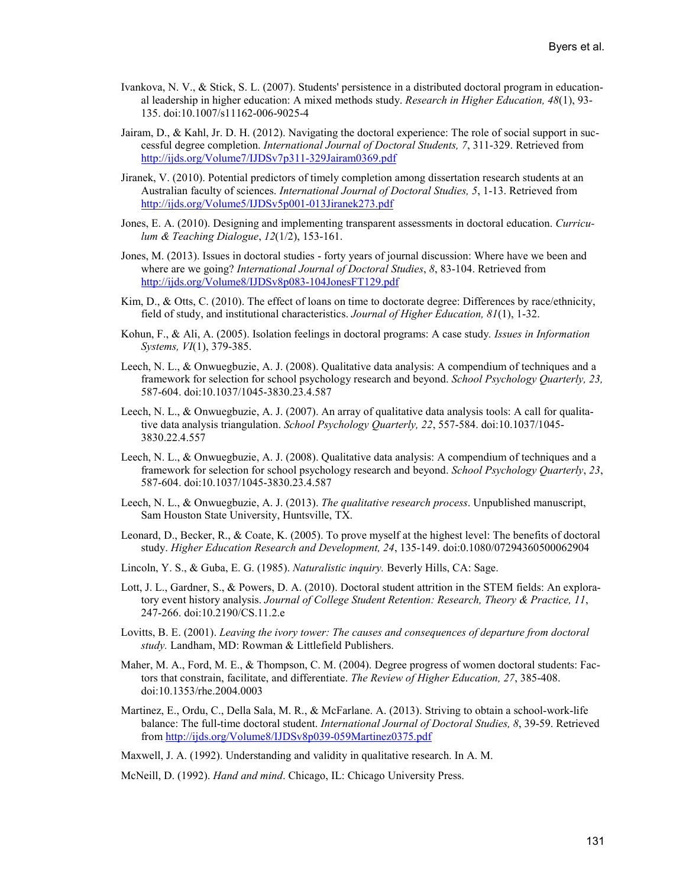- Ivankova, N. V., & Stick, S. L. (2007). Students' persistence in a distributed doctoral program in educational leadership in higher education: A mixed methods study. *Research in Higher Education, 48*(1), 93- 135. doi:10.1007/s11162-006-9025-4
- Jairam, D., & Kahl, Jr. D. H. (2012). Navigating the doctoral experience: The role of social support in successful degree completion. *International Journal of Doctoral Students, 7*, 311-329. Retrieved from <http://ijds.org/Volume7/IJDSv7p311-329Jairam0369.pdf>
- Jiranek, V. (2010). Potential predictors of timely completion among dissertation research students at an Australian faculty of sciences. *International Journal of Doctoral Studies, 5*, 1-13. Retrieved from <http://ijds.org/Volume5/IJDSv5p001-013Jiranek273.pdf>
- Jones, E. A. (2010). Designing and implementing transparent assessments in doctoral education. *Curriculum & Teaching Dialogue*, *12*(1/2), 153-161.
- Jones, M. (2013). Issues in doctoral studies forty years of journal discussion: Where have we been and where are we going? *International Journal of Doctoral Studies*, *8*, 83-104. Retrieved from <http://ijds.org/Volume8/IJDSv8p083-104JonesFT129.pdf>
- Kim, D., & Otts, C. (2010). The effect of loans on time to doctorate degree: Differences by race/ethnicity, field of study, and institutional characteristics. *Journal of Higher Education, 81*(1), 1-32.
- Kohun, F., & Ali, A. (2005). Isolation feelings in doctoral programs: A case study*. Issues in Information Systems, VI*(1), 379-385.
- Leech, N. L., & Onwuegbuzie, A. J. (2008). Qualitative data analysis: A compendium of techniques and a framework for selection for school psychology research and beyond. *School Psychology Quarterly, 23,* 587-604. doi:10.1037/1045-3830.23.4.587
- Leech, N. L., & Onwuegbuzie, A. J. (2007). An array of qualitative data analysis tools: A call for qualitative data analysis triangulation. *School Psychology Quarterly, 22*, 557-584. doi:10.1037/1045- 3830.22.4.557
- Leech, N. L., & Onwuegbuzie, A. J. (2008). Qualitative data analysis: A compendium of techniques and a framework for selection for school psychology research and beyond. *School Psychology Quarterly*, *23*, 587-604. doi:10.1037/1045-3830.23.4.587
- Leech, N. L., & Onwuegbuzie, A. J. (2013). *The qualitative research process*. Unpublished manuscript, Sam Houston State University, Huntsville, TX.
- Leonard, D., Becker, R., & Coate, K. (2005). To prove myself at the highest level: The benefits of doctoral study. *Higher Education Research and Development, 24*, 135-149. doi:0.1080/07294360500062904
- Lincoln, Y. S., & Guba, E. G. (1985). *Naturalistic inquiry.* Beverly Hills, CA: Sage.
- Lott, J. L., Gardner, S., & Powers, D. A. (2010). Doctoral student attrition in the STEM fields: An exploratory event history analysis. *Journal of College Student Retention: Research, Theory & Practice, 11*, 247-266. doi:10.2190/CS.11.2.e
- Lovitts, B. E. (2001). *Leaving the ivory tower: The causes and consequences of departure from doctoral study.* Landham, MD: Rowman & Littlefield Publishers.
- Maher, M. A., Ford, M. E., & Thompson, C. M. (2004). Degree progress of women doctoral students: Factors that constrain, facilitate, and differentiate. *The Review of Higher Education, 27*, 385-408. doi:10.1353/rhe.2004.0003
- Martinez, E., Ordu, C., Della Sala, M. R., & McFarlane. A. (2013). Striving to obtain a school-work-life balance: The full-time doctoral student. *International Journal of Doctoral Studies, 8*, 39-59. Retrieved from<http://ijds.org/Volume8/IJDSv8p039-059Martinez0375.pdf>

Maxwell, J. A. (1992). Understanding and validity in qualitative research. In A. M.

McNeill, D. (1992). *Hand and mind*. Chicago, IL: Chicago University Press.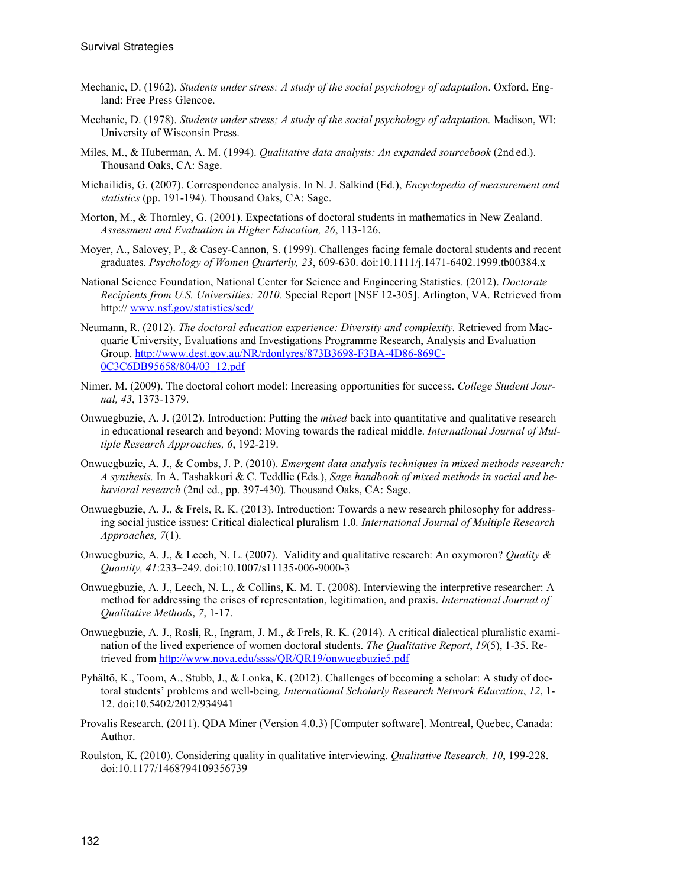- Mechanic, D. (1962). *Students under stress: A study of the social psychology of adaptation*. Oxford, England: Free Press Glencoe.
- Mechanic, D. (1978). *Students under stress; A study of the social psychology of adaptation.* Madison, WI: University of Wisconsin Press.
- Miles, M., & Huberman, A. M. (1994). *Qualitative data analysis: An expanded sourcebook* (2nd ed.). Thousand Oaks, CA: Sage.
- Michailidis, G. (2007). Correspondence analysis. In N. J. Salkind (Ed.), *Encyclopedia of measurement and statistics* (pp. 191-194). Thousand Oaks, CA: Sage.
- Morton, M., & Thornley, G. (2001). Expectations of doctoral students in mathematics in New Zealand. *Assessment and Evaluation in Higher Education, 26*, 113-126.
- Moyer, A., Salovey, P., & Casey-Cannon, S. (1999). Challenges facing female doctoral students and recent graduates. *Psychology of Women Quarterly, 23*, 609-630. doi:10.1111/j.1471-6402.1999.tb00384.x
- National Science Foundation, National Center for Science and Engineering Statistics. (2012). *Doctorate Recipients from U.S. Universities: 2010.* Special Report [NSF 12-305]. Arlington, VA. Retrieved from http:// [www.nsf.gov/statistics/sed/](http://www.nsf.gov/statistics/sed/)
- Neumann, R. (2012). *The doctoral education experience: Diversity and complexity.* Retrieved from Macquarie University, Evaluations and Investigations Programme Research, Analysis and Evaluation Group[. http://www.dest.gov.au/NR/rdonlyres/873B3698-F3BA-4D86-869C-](http://www.dest.gov.au/NR/rdonlyres/873B3698-F3BA-4D86-869C-0C3C6DB95658/804/03_12.pdf)[0C3C6DB95658/804/03\\_12.pdf](http://www.dest.gov.au/NR/rdonlyres/873B3698-F3BA-4D86-869C-0C3C6DB95658/804/03_12.pdf)
- Nimer, M. (2009). The doctoral cohort model: Increasing opportunities for success. *College Student Journal, 43*, 1373-1379.
- Onwuegbuzie, A. J. (2012). Introduction: Putting the *mixed* back into quantitative and qualitative research in educational research and beyond: Moving towards the radical middle. *International Journal of Multiple Research Approaches, 6*, 192-219.
- Onwuegbuzie, A. J., & Combs, J. P. (2010). *Emergent data analysis techniques in mixed methods research: A synthesis.* In A. Tashakkori & C. Teddlie (Eds.), *Sage handbook of mixed methods in social and behavioral research* (2nd ed., pp. 397-430)*.* Thousand Oaks, CA: Sage.
- Onwuegbuzie, A. J., & Frels, R. K. (2013). Introduction: Towards a new research philosophy for addressing social justice issues: Critical dialectical pluralism 1.0*. International Journal of Multiple Research Approaches, 7*(1).
- Onwuegbuzie, A. J., & Leech, N. L. (2007). Validity and qualitative research: An oxymoron? *Quality & Quantity, 41*:233–249. doi:10.1007/s11135-006-9000-3
- Onwuegbuzie, A. J., Leech, N. L., & Collins, K. M. T. (2008). Interviewing the interpretive researcher: A method for addressing the crises of representation, legitimation, and praxis. *International Journal of Qualitative Methods*, *7*, 1-17.
- Onwuegbuzie, A. J., Rosli, R., Ingram, J. M., & Frels, R. K. (2014). A critical dialectical pluralistic examination of the lived experience of women doctoral students. *The Qualitative Report*, *19*(5), 1-35. Retrieved from<http://www.nova.edu/ssss/QR/QR19/onwuegbuzie5.pdf>
- Pyhältö, K., Toom, A., Stubb, J., & Lonka, K. (2012). Challenges of becoming a scholar: A study of doctoral students' problems and well-being. *International Scholarly Research Network Education*, *12*, 1- 12. doi:10.5402/2012/934941
- Provalis Research. (2011). QDA Miner (Version 4.0.3) [Computer software]. Montreal, Quebec, Canada: Author.
- Roulston, K. (2010). Considering quality in qualitative interviewing. *Qualitative Research, 10*, 199-228. doi:10.1177/1468794109356739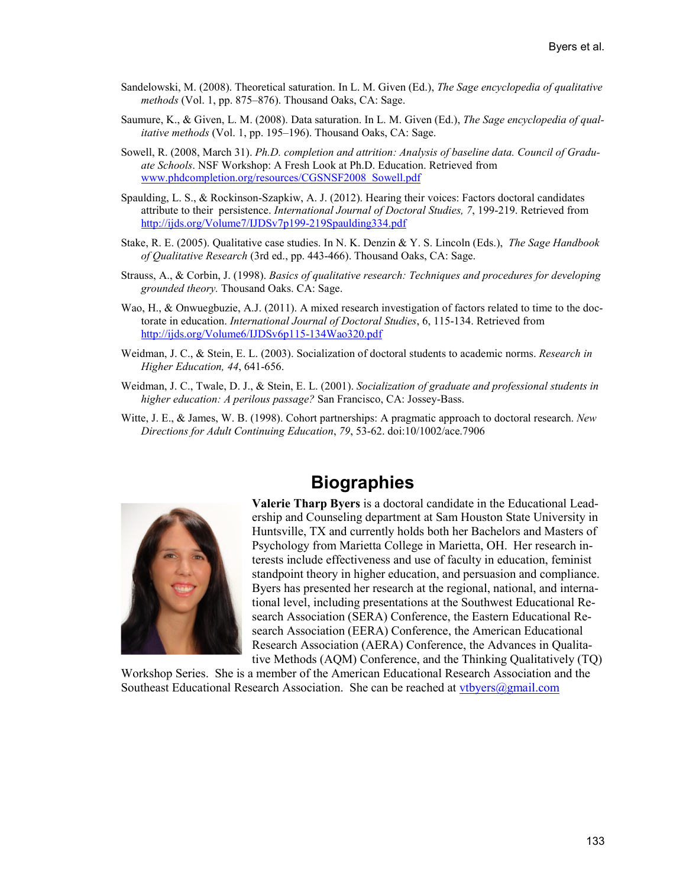- Sandelowski, M. (2008). Theoretical saturation. In L. M. Given (Ed.), *The Sage encyclopedia of qualitative methods* (Vol. 1, pp. 875–876). Thousand Oaks, CA: Sage.
- Saumure, K., & Given, L. M. (2008). Data saturation. In L. M. Given (Ed.), *The Sage encyclopedia of qualitative methods* (Vol. 1, pp. 195–196). Thousand Oaks, CA: Sage.
- Sowell, R. (2008, March 31). *Ph.D. completion and attrition: Analysis of baseline data. Council of Graduate Schools*. NSF Workshop: A Fresh Look at Ph.D. Education. Retrieved from [www.phdcompletion.org/resources/CGSNSF2008\\_Sowell.pdf](http://www.phdcompletion.org/resources/CGSNSF2008_Sowell.pdf)
- Spaulding, L. S., & Rockinson-Szapkiw, A. J. (2012). Hearing their voices: Factors doctoral candidates attribute to their persistence. *International Journal of Doctoral Studies, 7*, 199-219. Retrieved from <http://ijds.org/Volume7/IJDSv7p199-219Spaulding334.pdf>
- Stake, R. E. (2005). Qualitative case studies. In N. K. Denzin & Y. S. Lincoln (Eds.), *The Sage Handbook of Qualitative Research* (3rd ed., pp. 443-466). Thousand Oaks, CA: Sage.
- Strauss, A., & Corbin, J. (1998). *Basics of qualitative research: Techniques and procedures for developing grounded theory.* Thousand Oaks. CA: Sage.
- Wao, H., & Onwuegbuzie, A.J. (2011). A mixed research investigation of factors related to time to the doctorate in education. *International Journal of Doctoral Studies*, 6, 115-134. Retrieved from <http://ijds.org/Volume6/IJDSv6p115-134Wao320.pdf>
- Weidman, J. C., & Stein, E. L. (2003). Socialization of doctoral students to academic norms. *Research in Higher Education, 44*, 641-656.
- Weidman, J. C., Twale, D. J., & Stein, E. L. (2001). *Socialization of graduate and professional students in higher education: A perilous passage?* San Francisco, CA: Jossey-Bass.
- Witte, J. E., & James, W. B. (1998). Cohort partnerships: A pragmatic approach to doctoral research. *New Directions for Adult Continuing Education*, *79*, 53-62. doi:10/1002/ace.7906



# **Biographies**

**Valerie Tharp Byers** is a doctoral candidate in the Educational Leadership and Counseling department at Sam Houston State University in Huntsville, TX and currently holds both her Bachelors and Masters of Psychology from Marietta College in Marietta, OH. Her research interests include effectiveness and use of faculty in education, feminist standpoint theory in higher education, and persuasion and compliance. Byers has presented her research at the regional, national, and international level, including presentations at the Southwest Educational Research Association (SERA) Conference, the Eastern Educational Research Association (EERA) Conference, the American Educational Research Association (AERA) Conference, the Advances in Qualitative Methods (AQM) Conference, and the Thinking Qualitatively (TQ)

Workshop Series. She is a member of the American Educational Research Association and the Southeast Educational Research Association. She can be reached at  $vtbyers@gmail.com$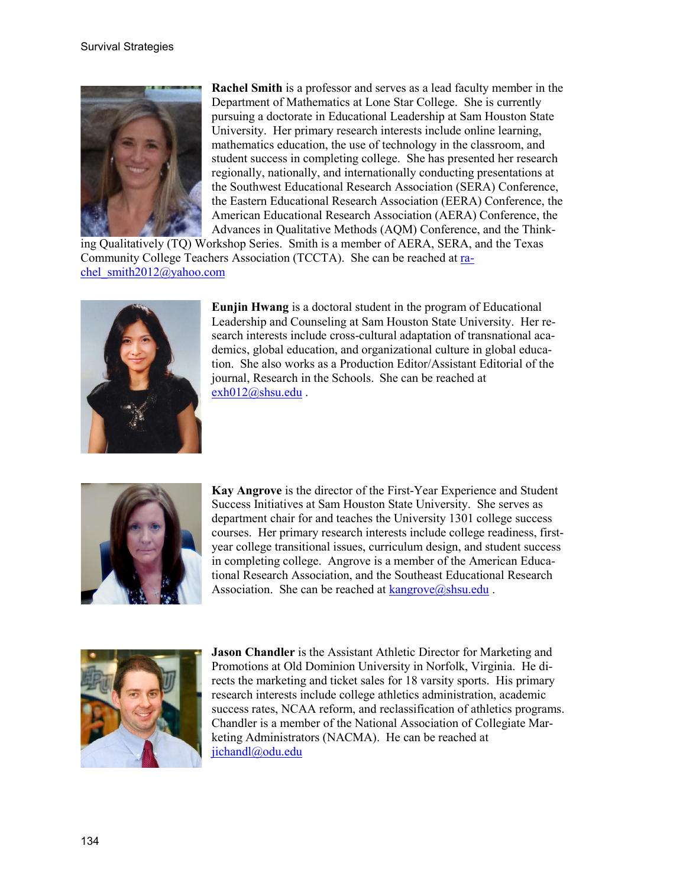

**Rachel Smith** is a professor and serves as a lead faculty member in the Department of Mathematics at Lone Star College. She is currently pursuing a doctorate in Educational Leadership at Sam Houston State University. Her primary research interests include online learning, mathematics education, the use of technology in the classroom, and student success in completing college. She has presented her research regionally, nationally, and internationally conducting presentations at the Southwest Educational Research Association (SERA) Conference, the Eastern Educational Research Association (EERA) Conference, the American Educational Research Association (AERA) Conference, the Advances in Qualitative Methods (AQM) Conference, and the Think-

ing Qualitatively (TQ) Workshop Series. Smith is a member of AERA, SERA, and the Texas Community College Teachers Association (TCCTA). She can be reached at [ra](mailto:rachel_smith2012@yahoo.com)[chel\\_smith2012@yahoo.com](mailto:rachel_smith2012@yahoo.com)



**Eunjin Hwang** is a doctoral student in the program of Educational Leadership and Counseling at Sam Houston State University. Her research interests include cross-cultural adaptation of transnational academics, global education, and organizational culture in global education. She also works as a Production Editor/Assistant Editorial of the journal, Research in the Schools. She can be reached at [exh012@shsu.edu](mailto:exh012@shsu.edu) .



**Kay Angrove** is the director of the First-Year Experience and Student Success Initiatives at Sam Houston State University. She serves as department chair for and teaches the University 1301 college success courses. Her primary research interests include college readiness, firstyear college transitional issues, curriculum design, and student success in completing college. Angrove is a member of the American Educational Research Association, and the Southeast Educational Research Association. She can be reached at  $\text{kangrove}(a)$ shsu.edu.



**Jason Chandler** is the Assistant Athletic Director for Marketing and Promotions at Old Dominion University in Norfolk, Virginia. He directs the marketing and ticket sales for 18 varsity sports. His primary research interests include college athletics administration, academic success rates, NCAA reform, and reclassification of athletics programs. Chandler is a member of the National Association of Collegiate Marketing Administrators (NACMA). He can be reached at [jichandl@odu.edu](mailto:jichandl@odu.edu)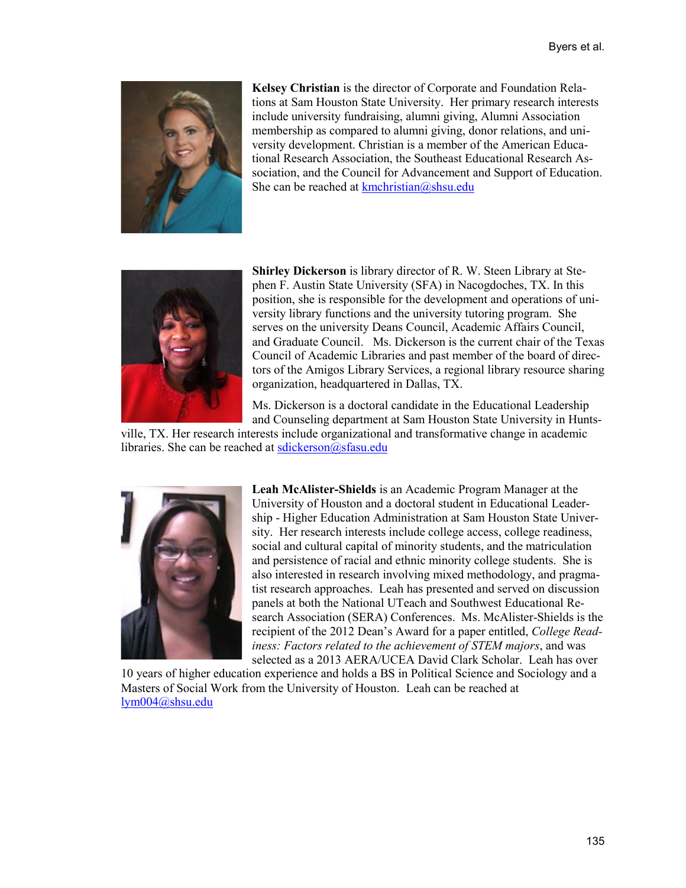

**Kelsey Christian** is the director of Corporate and Foundation Relations at Sam Houston State University. Her primary research interests include university fundraising, alumni giving, Alumni Association membership as compared to alumni giving, donor relations, and university development. Christian is a member of the American Educational Research Association, the Southeast Educational Research Association, and the Council for Advancement and Support of Education. She can be reached at  $kmchristian@shsu.edu$ 



**Shirley Dickerson** is library director of R. W. Steen Library at Stephen F. Austin State University (SFA) in Nacogdoches, TX. In this position, she is responsible for the development and operations of university library functions and the university tutoring program. She serves on the university Deans Council, Academic Affairs Council, and Graduate Council. Ms. Dickerson is the current chair of the Texas Council of Academic Libraries and past member of the board of directors of the Amigos Library Services, a regional library resource sharing organization, headquartered in Dallas, TX.

Ms. Dickerson is a doctoral candidate in the Educational Leadership and Counseling department at Sam Houston State University in Hunts-

ville, TX. Her research interests include organizational and transformative change in academic libraries. She can be reached at [sdickerson@sfasu.edu](mailto:sdickerson@sfasu.edu)



**Leah McAlister-Shields** is an Academic Program Manager at the University of Houston and a doctoral student in Educational Leadership - Higher Education Administration at Sam Houston State University. Her research interests include college access, college readiness, social and cultural capital of minority students, and the matriculation and persistence of racial and ethnic minority college students. She is also interested in research involving mixed methodology, and pragmatist research approaches. Leah has presented and served on discussion panels at both the National UTeach and Southwest Educational Research Association (SERA) Conferences. Ms. McAlister-Shields is the recipient of the 2012 Dean's Award for a paper entitled, *College Readiness: Factors related to the achievement of STEM majors*, and was selected as a 2013 AERA/UCEA David Clark Scholar. Leah has over

10 years of higher education experience and holds a BS in Political Science and Sociology and a Masters of Social Work from the University of Houston. Leah can be reached at [lym004@shsu.edu](mailto:lym004@shsu.edu)